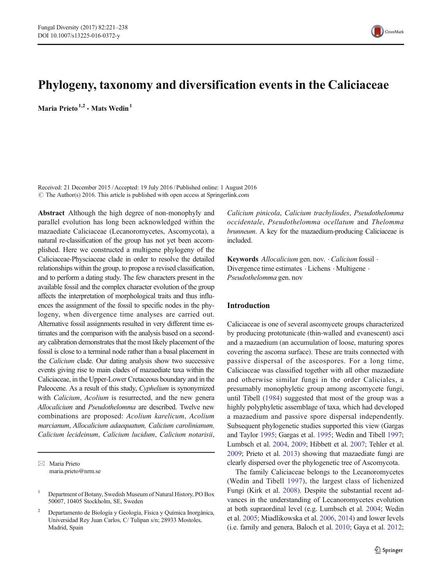

# Phylogeny, taxonomy and diversification events in the Caliciaceae

Maria Prieto<sup>1,2</sup>  $\cdot$  Mats Wedin<sup>1</sup>

Received: 21 December 2015 /Accepted: 19 July 2016 /Published online: 1 August 2016  $\odot$  The Author(s) 2016. This article is published with open access at Springerlink.com

Abstract Although the high degree of non-monophyly and parallel evolution has long been acknowledged within the mazaediate Caliciaceae (Lecanoromycetes, Ascomycota), a natural re-classification of the group has not yet been accomplished. Here we constructed a multigene phylogeny of the Caliciaceae-Physciaceae clade in order to resolve the detailed relationships within the group, to propose a revised classification, and to perform a dating study. The few characters present in the available fossil and the complex character evolution of the group affects the interpretation of morphological traits and thus influences the assignment of the fossil to specific nodes in the phylogeny, when divergence time analyses are carried out. Alternative fossil assignments resulted in very different time estimates and the comparison with the analysis based on a secondary calibration demonstrates that the most likely placement of the fossil is close to a terminal node rather than a basal placement in the Calicium clade. Our dating analysis show two successive events giving rise to main clades of mazaediate taxa within the Caliciaceae, in the Upper-Lower Cretaceous boundary and in the Paleocene. As a result of this study, Cyphelium is synonymized with *Calicium*, *Acolium* is resurrected, and the new genera Allocalicium and Pseudothelomma are described. Twelve new combinations are proposed: Acolium karelicum, Acolium marcianum, Allocalicium adaequatum, Calicium carolinianum, Calicium lecideinum, Calicium lucidum, Calicium notarisii,

 $\boxtimes$  Maria Prieto maria.prieto@nrm.se

Calicium pinicola, Calicium trachyliodes, Pseudothelomma occidentale, Pseudothelomma ocellatum and Thelomma brunneum. A key for the mazaedium-producing Caliciaceae is included.

Keywords Allocalicium gen. nov. · Calicium fossil · Divergence time estimates  $\cdot$  Lichens  $\cdot$  Multigene  $\cdot$ Pseudothelomma gen. nov

## Introduction

Caliciaceae is one of several ascomycete groups characterized by producing prototunicate (thin-walled and evanescent) asci and a mazaedium (an accumulation of loose, maturing spores covering the ascoma surface). These are traits connected with passive dispersal of the ascospores. For a long time, Caliciaceae was classified together with all other mazaediate and otherwise similar fungi in the order Caliciales, a presumably monophyletic group among ascomycete fungi, until Tibell [\(1984\)](#page-16-0) suggested that most of the group was a highly polyphyletic assemblage of taxa, which had developed a mazaedium and passive spore dispersal independently. Subsequent phylogenetic studies supported this view (Gargas and Taylor [1995](#page-15-0); Gargas et al. [1995;](#page-15-0) Wedin and Tibell [1997;](#page-16-0) Lumbsch et al. [2004](#page-15-0), [2009](#page-15-0); Hibbett et al. [2007;](#page-15-0) Tehler et al. [2009;](#page-16-0) Prieto et al. [2013\)](#page-16-0) showing that mazaediate fungi are clearly dispersed over the phylogenetic tree of Ascomycota.

The family Caliciaceae belongs to the Lecanoromycetes (Wedin and Tibell [1997\)](#page-16-0), the largest class of lichenized Fungi (Kirk et al. [2008\)](#page-15-0). Despite the substantial recent advances in the understanding of Lecanoromycetes evolution at both supraordinal level (e.g. Lumbsch et al. [2004](#page-15-0); Wedin et al. [2005;](#page-17-0) Miadlikowska et al. [2006,](#page-15-0) [2014](#page-16-0)) and lower levels (i.e. family and genera, Baloch et al. [2010](#page-15-0); Gaya et al. [2012;](#page-15-0)

<sup>&</sup>lt;sup>1</sup> Department of Botany, Swedish Museum of Natural History, PO Box 50007, 10405 Stockholm, SE, Sweden

<sup>2</sup> Departamento de Biología y Geología, Física y Química Inorgánica, Universidad Rey Juan Carlos, C/ Tulipan s/n; 28933 Mostoles, Madrid, Spain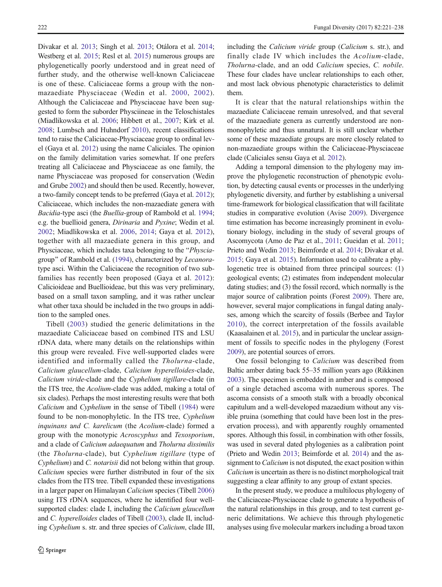Divakar et al. [2013;](#page-15-0) Singh et al. [2013;](#page-16-0) Otálora et al. [2014](#page-16-0); Westberg et al. [2015](#page-17-0); Resl et al. [2015](#page-16-0)) numerous groups are phylogenetically poorly understood and in great need of further study, and the otherwise well-known Caliciaceae is one of these. Caliciaceae forms a group with the nonmazaediate Physciaceae (Wedin et al. [2000,](#page-16-0) [2002](#page-16-0)). Although the Caliciaceae and Physciaceae have been suggested to form the suborder Physciineae in the Teloschistales (Miadlikowska et al. [2006;](#page-15-0) Hibbett et al., [2007](#page-15-0); Kirk et al. [2008;](#page-15-0) Lumbsch and Huhndorf [2010](#page-15-0)), recent classifications tend to raise the Caliciaceae-Physciaceae group to ordinal level (Gaya et al. [2012](#page-15-0)) using the name Caliciales. The opinion on the family delimitation varies somewhat. If one prefers treating all Caliciaceae and Physciaceae as one family, the name Physciaceae was proposed for conservation (Wedin and Grube [2002](#page-16-0)) and should then be used. Recently, however, a two-family concept tends to be preferred (Gaya et al. [2012](#page-15-0)); Caliciaceae, which includes the non-mazaediate genera with Bacidia-type asci (the Buellia-group of Rambold et al. [1994](#page-16-0); e.g. the buellioid genera, Dirinaria and Pyxine; Wedin et al. [2002;](#page-16-0) Miadlikowska et al. [2006,](#page-15-0) [2014](#page-16-0); Gaya et al. [2012](#page-15-0)), together with all mazaediate genera in this group, and Physciaceae, which includes taxa belonging to the "Physcia-group" of Rambold et al. ([1994](#page-16-0)), characterized by Lecanoratype asci. Within the Caliciaceae the recognition of two subfamilies has recently been proposed (Gaya et al. [2012\)](#page-15-0): Calicioideae and Buellioideae, but this was very preliminary, based on a small taxon sampling, and it was rather unclear what other taxa should be included in the two groups in addition to the sampled ones.

Tibell ([2003\)](#page-16-0) studied the generic delimitations in the mazaediate Caliciaceae based on combined ITS and LSU rDNA data, where many details on the relationships within this group were revealed. Five well-supported clades were identified and informally called the *Tholurna*-clade, Calicium glaucellum-clade, Calicium hyperelloides-clade, Calicium viride-clade and the Cyphelium tigillare-clade (in the ITS tree, the Acolium-clade was added, making a total of six clades). Perhaps the most interesting results were that both Calicium and Cyphelium in the sense of Tibell [\(1984\)](#page-16-0) were found to be non-monophyletic. In the ITS tree, Cyphelium inquinans and C. karelicum (the Acolium-clade) formed a group with the monotypic Acroscyphus and Texosporium, and a clade of Calicium adaequatum and Tholurna dissimilis (the Tholurna-clade), but Cyphelium tigillare (type of Cyphelium) and C. notarisii did not belong within that group. Calicium species were further distributed in four of the six clades from the ITS tree. Tibell expanded these investigations in a larger paper on Himalayan Calicium species (Tibell [2006\)](#page-16-0) using ITS rDNA sequences, where he identified four wellsupported clades: clade I, including the Calicium glaucellum and C. hyperelloides clades of Tibell ([2003](#page-16-0)), clade II, including Cyphelium s. str. and three species of Calicium, clade III,

including the Calicium viride group (Calicium s. str.), and finally clade IV which includes the Acolium-clade, Tholurna-clade, and an odd Calicium species, C. nobile. These four clades have unclear relationships to each other, and most lack obvious phenotypic characteristics to delimit them.

It is clear that the natural relationships within the mazaediate Caliciaceae remain unresolved, and that several of the mazaediate genera as currently understood are nonmonophyletic and thus unnatural. It is still unclear whether some of these mazaediate groups are more closely related to non-mazaediate groups within the Caliciaceae-Physciaceae clade (Caliciales sensu Gaya et al. [2012](#page-15-0)).

Adding a temporal dimension to the phylogeny may improve the phylogenetic reconstruction of phenotypic evolution, by detecting causal events or processes in the underlying phylogenetic diversity, and further by establishing a universal time-framework for biological classification that will facilitate studies in comparative evolution (Avise [2009\)](#page-15-0). Divergence time estimation has become increasingly prominent in evolutionary biology, including in the study of several groups of Ascomycota (Amo de Paz et al., [2011;](#page-14-0) Gueidan et al. [2011;](#page-15-0) Prieto and Wedin [2013;](#page-16-0) Beimforde et al. [2014](#page-15-0); Divakar et al. [2015;](#page-15-0) Gaya et al. [2015\)](#page-15-0). Information used to calibrate a phylogenetic tree is obtained from three principal sources: (1) geological events; (2) estimates from independent molecular dating studies; and (3) the fossil record, which normally is the major source of calibration points (Forest [2009\)](#page-15-0). There are, however, several major complications in fungal dating analyses, among which the scarcity of fossils (Berbee and Taylor [2010](#page-15-0)), the correct interpretation of the fossils available (Kaasalainen et al. [2015](#page-15-0)), and in particular the unclear assignment of fossils to specific nodes in the phylogeny (Forest [2009\)](#page-15-0), are potential sources of errors.

One fossil belonging to Calicium was described from Baltic amber dating back 55–35 million years ago (Rikkinen [2003\)](#page-16-0). The specimen is embedded in amber and is composed of a single detached ascoma with numerous spores. The ascoma consists of a smooth stalk with a broadly obconical capitulum and a well-developed mazaedium without any visible pruina (something that could have been lost in the preservation process), and with apparently roughly ornamented spores. Although this fossil, in combination with other fossils, was used in several dated phylogenies as a calibration point (Prieto and Wedin [2013;](#page-16-0) Beimforde et al. [2014](#page-15-0)) and the assignment to *Calicium* is not disputed, the exact position within Calicium is uncertain as there is no distinct morphological trait suggesting a clear affinity to any group of extant species.

In the present study, we produce a multilocus phylogeny of the Caliciaceae-Physciaceae clade to generate a hypothesis of the natural relationships in this group, and to test current generic delimitations. We achieve this through phylogenetic analyses using five molecular markers including a broad taxon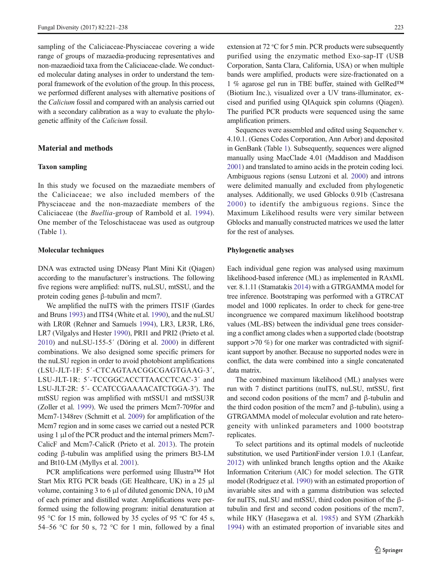sampling of the Caliciaceae-Physciaceae covering a wide range of groups of mazaedia-producing representatives and non-mazaedioid taxa from the Caliciaceae-clade. We conducted molecular dating analyses in order to understand the temporal framework of the evolution of the group. In this process, we performed different analyses with alternative positions of the Calicium fossil and compared with an analysis carried out with a secondary calibration as a way to evaluate the phylogenetic affinity of the Calicium fossil.

## Material and methods

## Taxon sampling

In this study we focused on the mazaediate members of the Caliciaceae; we also included members of the Physciaceae and the non-mazaediate members of the Caliciaceae (the Buellia-group of Rambold et al. [1994](#page-16-0)). One member of the Teloschistaceae was used as outgroup (Table [1](#page-3-0)).

## Molecular techniques

DNA was extracted using DNeasy Plant Mini Kit (Qiagen) according to the manufacturer's instructions. The following five regions were amplified: nuITS, nuLSU, mtSSU, and the protein coding genes β-tubulin and mcm7.

We amplified the nuITS with the primers ITS1F (Gardes and Bruns [1993\)](#page-15-0) and ITS4 (White et al. [1990](#page-17-0)), and the nuLSU with LR0R (Rehner and Samuels [1994](#page-16-0)), LR3, LR3R, LR6, LR7 (Vilgalys and Hester [1990](#page-16-0)), PRI1 and PRI2 (Prieto et al. [2010\)](#page-16-0) and nuLSU-155-5´ (Döring et al. [2000](#page-15-0)) in different combinations. We also designed some specific primers for the nuLSU region in order to avoid photobiont amplifications (LSU-JLT-1F: 5´-CTCAGTAACGGCGAGTGAAG-3´, LSU-JLT-1R: 5´-TCCGGCACCTTAACCTCAC-3´ and LSU-JLT-2R: 5´- CCATCCGAAAACATCTGGA-3′). The mtSSU region was amplified with mtSSU1 and mtSSU3R (Zoller et al. [1999](#page-17-0)). We used the primers Mcm7-709for and Mcm7-1348rev (Schmitt et al. [2009\)](#page-16-0) for amplification of the Mcm7 region and in some cases we carried out a nested PCR using  $1 \mu$  of the PCR product and the internal primers Mcm7-CalicF and Mcm7-CalicR (Prieto et al. [2013\)](#page-16-0). The protein coding β-tubulin was amplified using the primers Bt3-LM and Bt10-LM (Myllys et al. [2001\)](#page-16-0).

PCR amplifications were performed using Illustra™ Hot Start Mix RTG PCR beads (GE Healthcare, UK) in a 25 μl volume, containing 3 to 6 μl of diluted genomic DNA, 10 μM of each primer and distilled water. Amplifications were performed using the following program: initial denaturation at 95 °C for 15 min, followed by 35 cycles of 95 °C for 45 s, 54–56 °C for 50 s, 72 °C for 1 min, followed by a final extension at 72 °C for 5 min. PCR products were subsequently purified using the enzymatic method Exo-sap-IT (USB Corporation, Santa Clara, California, USA) or when multiple bands were amplified, products were size-fractionated on a 1 % agarose gel run in TBE buffer, stained with GelRed™ (Biotium Inc.), visualized over a UV trans-illuminator, excised and purified using QIAquick spin columns (Qiagen). The purified PCR products were sequenced using the same amplification primers.

Sequences were assembled and edited using Sequencher v. 4.10.1. (Genes Codes Corporation, Ann Arbor) and deposited in GenBank (Table [1\)](#page-3-0). Subsequently, sequences were aligned manually using MacClade 4.01 (Maddison and Maddison [2001\)](#page-15-0) and translated to amino acids in the protein coding loci. Ambiguous regions (sensu Lutzoni et al. [2000\)](#page-15-0) and introns were delimited manually and excluded from phylogenetic analyses. Additionally, we used Gblocks 0.91b (Castresana [2000](#page-15-0)) to identify the ambiguous regions. Since the Maximum Likelihood results were very similar between Gblocks and manually constructed matrices we used the latter for the rest of analyses.

## Phylogenetic analyses

Each individual gene region was analysed using maximum likelihood-based inference (ML) as implemented in RAxML ver. 8.1.11 (Stamatakis [2014\)](#page-16-0) with a GTRGAMMA model for tree inference. Bootstraping was performed with a GTRCAT model and 1000 replicates. In order to check for gene-tree incongruence we compared maximum likelihood bootstrap values (ML-BS) between the individual gene trees considering a conflict among clades when a supported clade (bootstrap support >70 %) for one marker was contradicted with significant support by another. Because no supported nodes were in conflict, the data were combined into a single concatenated data matrix.

The combined maximum likelihood (ML) analyses were run with 7 distinct partitions (nuITS, nuLSU, mtSSU, first and second codon positions of the mcm7 and β-tubulin and the third codon position of the mcm7 and β-tubulin), using a GTRGAMMA model of molecular evolution and rate heterogeneity with unlinked parameters and 1000 bootstrap replicates.

To select partitions and its optimal models of nucleotide substitution, we used PartitionFinder version 1.0.1 (Lanfear, [2012\)](#page-15-0) with unlinked branch lengths option and the Akaike Information Criterium (AIC) for model selection. The GTR model (Rodríguez et al. [1990](#page-16-0)) with an estimated proportion of invariable sites and with a gamma distribution was selected for nuITS, nuLSU and mtSSU, third codon position of the βtubulin and first and second codon positions of the mcm7, while HKY (Hasegawa et al. [1985](#page-15-0)) and SYM (Zharkikh [1994](#page-17-0)) with an estimated proportion of invariable sites and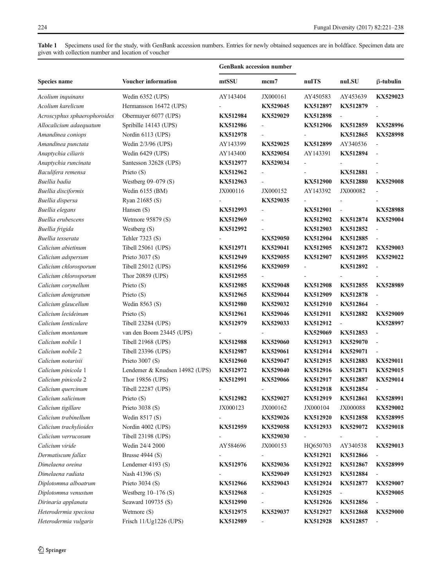<span id="page-3-0"></span>Table 1 Specimens used for the study, with GenBank accession numbers. Entries for newly obtained sequences are in boldface. Specimen data are given with collection number and location of voucher

|                                            |                                |                 | <b>GenBank accession number</b> |                      |                          |                          |
|--------------------------------------------|--------------------------------|-----------------|---------------------------------|----------------------|--------------------------|--------------------------|
| <b>Species name</b>                        | <b>Voucher information</b>     | mtSSU           | mcm7                            | nuITS                | nuLSU                    | $\beta$ -tubulin         |
| Acolium inquinans                          | Wedin 6352 (UPS)               | AY143404        | JX000161                        | AY450583             | AY453639                 | KX529023                 |
| Acolium karelicum                          | Hermansson 16472 (UPS)         |                 | KX529045                        | KX512897             | KX512879                 | $\bar{a}$                |
| Acroscyphus sphaerophoroides               | Obermayer 6077 (UPS)           | <b>KX512984</b> | KX529029                        | <b>KX512898</b>      | $\overline{\phantom{a}}$ |                          |
| Allocalicium adaequatum                    | Spribille 14143 (UPS)          | <b>KX512986</b> |                                 | <b>KX512906</b>      | KX512859                 | <b>KX528996</b>          |
| Amandinea coniops                          | Nordin 6113 (UPS)              | <b>KX512978</b> |                                 |                      | <b>KX512865</b>          | <b>KX528998</b>          |
| Amandinea punctata                         | Wedin 2/3/96 (UPS)             | AY143399        | KX529025                        | KX512899             | AY340536                 | $\bar{a}$                |
| Anaptychia ciliaris                        | Wedin 6429 (UPS)               | AY143400        | KX529054                        | AY143391             | <b>KX512894</b>          | $\bar{a}$                |
| Anaptychia runcinata                       | Santesson 32628 (UPS)          | KX512977        | KX529034                        | L.                   |                          |                          |
| Baculifera remensa                         | Prieto (S)                     | KX512962        |                                 |                      | <b>KX512881</b>          |                          |
| Buellia badia                              | Westberg 09-079 (S)            | KX512963        |                                 | <b>KX512900</b>      | <b>KX512880</b>          | <b>KX529008</b>          |
| Buellia disciformis                        | Wedin 6155 (BM)                | JX000116        | JX000152                        | AY143392             | JX000082                 | ÷,                       |
| Buellia dispersa                           | Ryan 21685 (S)                 |                 | KX529035                        |                      |                          |                          |
| Buellia elegans                            | Hansen $(S)$                   | KX512993        |                                 | <b>KX512901</b>      |                          | <b>KX528988</b>          |
| Buellia erubescens                         | Wetmore 95879 (S)              | KX512969        |                                 | <b>KX512902</b>      | <b>KX512874</b>          | <b>KX529004</b>          |
| Buellia frigida                            | Westberg $(S)$                 | KX512992        |                                 | <b>KX512903</b>      | <b>KX512852</b>          | $\bar{a}$                |
| Buellia tesserata                          | Tehler 7323 (S)                |                 | KX529050                        | <b>KX512904</b>      | <b>KX512885</b>          | $\sim$                   |
| Calicium abietinum                         | Tibell 25061 (UPS)             | KX512971        | KX529041                        | KX512905             | KX512872                 | <b>KX529003</b>          |
| Calicium adspersum                         | Prieto $3037(S)$               | KX512949        | KX529055                        | <b>KX512907</b>      | <b>KX512895</b>          | <b>KX529022</b>          |
| Calicium chlorosporum                      | Tibell 25012 (UPS)             | KX512956        | KX529059                        |                      | <b>KX512892</b>          | ÷,                       |
| Calicium chlorosporum                      | Thor 20859 (UPS)               | KX512955        |                                 |                      |                          |                          |
| Calicium corynellum                        | Prieto (S)                     | KX512985        | <b>KX529048</b>                 | <b>KX512908</b>      | KX512855                 | <b>KX528989</b>          |
| Calicium denigratum                        | Prieto $(S)$                   | KX512965        | <b>KX529044</b>                 | KX512909             | <b>KX512878</b>          | $\overline{\phantom{a}}$ |
| Calicium glaucellum                        | Wedin 8563 (S)                 | <b>KX512980</b> | KX529032                        | <b>KX512910</b>      | <b>KX512864</b>          |                          |
| Calicium lecideinum                        | Prieto (S)                     | KX512961        | KX529046                        | <b>KX512911</b>      | <b>KX512882</b>          | KX529009                 |
| Calicium lenticulare                       | Tibell 23284 (UPS)             | KX512979        | KX529033                        | KX512912             | $\sim$                   | <b>KX528997</b>          |
| Calicium montanum                          | van den Boom 23445 (UPS)       |                 |                                 | KX529069             | KX512853                 |                          |
| Calicium nobile 1                          | Tibell 21968 (UPS)             | <b>KX512988</b> | <b>KX529060</b>                 | KX512913             | <b>KX529070</b>          | ÷,                       |
| Calicium nobile 2                          | Tibell 23396 (UPS)             | <b>KX512987</b> | <b>KX529061</b>                 | KX512914             | KX529071                 |                          |
| Calicium notarisii                         | Prieto $3007(S)$               | <b>KX512960</b> | <b>KX529047</b>                 | KX512915             | <b>KX512883</b>          | <b>KX529011</b>          |
| Calicium pinicola 1                        | Lendemer & Knudsen 14982 (UPS) | <b>KX512972</b> | <b>KX529040</b>                 | KX512916             | KX512871                 | KX529015                 |
| Calicium pinicola 2                        | Thor 19856 (UPS)               | KX512991        | KX529066                        | KX512917             | <b>KX512887</b>          | KX529014                 |
|                                            | <b>Tibell 22287 (UPS)</b>      | $\sim$          |                                 | <b>KX512918</b>      | <b>KX512854</b>          | $\bar{a}$                |
| Calicium quercinum<br>Calicium salicinum   |                                | KX512982        |                                 |                      |                          |                          |
|                                            | Prieto $(S)$                   |                 | KX529027                        | KX512919<br>JX000104 | KX512861                 | KX528991                 |
| Calicium tigillare<br>Calicium trabinellum | Prieto 3038 (S)                | JX000123        | JX000162                        |                      | JX000088                 | <b>KX529002</b>          |
|                                            | Wedin 8517 (S)                 |                 | KX529026                        | <b>KX512920</b>      | <b>KX512858</b>          | KX528995                 |
| Calicium trachylioides                     | Nordin 4002 (UPS)              | KX512959        | <b>KX529058</b>                 | KX512933             | KX529072                 | <b>KX529018</b>          |
| Calicium verrucosum                        | <b>Tibell 23198 (UPS)</b>      |                 | <b>KX529030</b>                 |                      |                          |                          |
| Calicium viride                            | Wedin 24/4 2000                | AY584696        | JX000153                        | HQ650703             | AY340538                 | KX529013                 |
| Dermatiscum fallax                         | Brusse 4944 (S)                |                 |                                 | KX512921             | <b>KX512866</b>          |                          |
| Dimelaena oreina                           | Lendemer 4193 (S)              | KX512976        | KX529036                        | <b>KX512922</b>      | <b>KX512867</b>          | KX528999                 |
| Dimelaena radiata                          | Nash 41396 (S)                 |                 | KX529049                        | KX512923             | <b>KX512884</b>          |                          |
| Diplotomma alboatrum                       | Prieto $3034(S)$               | KX512966        | KX529043                        | KX512924             | KX512877                 | <b>KX529007</b>          |
| Diplotomma venustum                        | Westberg $10-176$ (S)          | <b>KX512968</b> |                                 | KX512925             |                          | KX529005                 |
| Dirinaria applanata                        | Seaward 109735 (S)             | <b>KX512990</b> |                                 | KX512926             | KX512856                 | $\overline{\phantom{0}}$ |
| Heterodermia speciosa                      | Wetmore (S)                    | KX512975        | KX529037                        | KX512927             | <b>KX512868</b>          | KX529000                 |
| Heterodermia vulgaris                      | Frisch 11/Ug1226 (UPS)         | KX512989        |                                 | KX512928             | KX512857                 | $\blacksquare$           |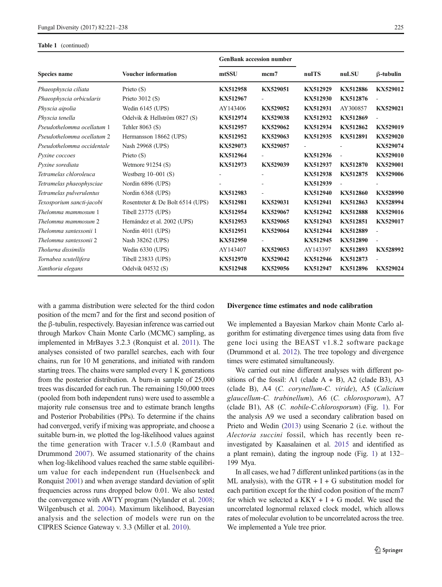Table 1 (continued)

|                            |                                  |                 | <b>GenBank accession number</b> |                 |                 |                          |
|----------------------------|----------------------------------|-----------------|---------------------------------|-----------------|-----------------|--------------------------|
| <b>Species name</b>        | <b>Voucher information</b>       | mtSSU           | mcm7                            | nuITS           | nuLSU           | $\beta$ -tubulin         |
| Phaeophyscia ciliata       | Prieto (S)                       | <b>KX512958</b> | KX529051                        | KX512929        | <b>KX512886</b> | KX529012                 |
| Phaeophyscia orbicularis   | Prieto $3012(S)$                 | KX512967        |                                 | <b>KX512930</b> | KX512876        |                          |
| Physcia aipolia            | Wedin 6145 (UPS)                 | AY143406        | KX529052                        | KX512931        | AY300857        | KX529021                 |
| Physcia tenella            | Odelvik & Hellström 0827 (S)     | KX512974        | <b>KX529038</b>                 | KX512932        | KX512869        |                          |
| Pseudothelomma ocellatum 1 | Tehler 8063 (S)                  | KX512957        | KX529062                        | KX512934        | KX512862        | KX529019                 |
| Pseudothelomma ocellatum 2 | Hermansson 18662 (UPS)           | KX512952        | KX529063                        | KX512935        | <b>KX512891</b> | <b>KX529020</b>          |
| Pseudothelomma occidentale | Nash 29968 (UPS)                 | KX529073        | <b>KX529057</b>                 |                 |                 | KX529074                 |
| Pyxine coccoes             | Prieto $(S)$                     | KX512964        |                                 | KX512936        | $\sim$          | KX529010                 |
| Pyxine sorediata           | Wetmore $91254(S)$               | KX512973        | KX529039                        | <b>KX512937</b> | <b>KX512870</b> | <b>KX529001</b>          |
| Tetramelas chloroleuca     | Westberg $10-001$ (S)            |                 |                                 | <b>KX512938</b> | <b>KX512875</b> | <b>KX529006</b>          |
| Tetramelas phaeophysciae   | Nordin 6896 (UPS)                |                 |                                 | KX512939        |                 |                          |
| Tetramelas pulverulentus   | Nordin 6368 (UPS)                | KX512983        |                                 | <b>KX512940</b> | <b>KX512860</b> | <b>KX528990</b>          |
| Texosporium sancti-jacobi  | Rosentreter & De Bolt 6514 (UPS) | <b>KX512981</b> | KX529031                        | <b>KX512941</b> | KX512863        | KX528994                 |
| Thelomma mammosum 1        | Tibell 23775 (UPS)               | KX512954        | KX529067                        | KX512942        | <b>KX512888</b> | KX529016                 |
| Thelomma mammosum 2        | Hernández et al. 2002 (UPS)      | KX512953        | KX529065                        | KX512943        | <b>KX512851</b> | KX529017                 |
| Thelomma santessonii 1     | Nordin 4011 (UPS)                | KX512951        | KX529064                        | <b>KX512944</b> | <b>KX512889</b> | $\overline{\phantom{a}}$ |
| Thelomma santessonii 2     | Nash 38262 (UPS)                 | <b>KX512950</b> |                                 | KX512945        | <b>KX512890</b> | $\sim$                   |
| Tholurna dissimilis        | Wedin 6330 (UPS)                 | AY143407        | KX529053                        | AY143397        | KX512893        | KX528992                 |
| Tornabea scutellifera      | Tibell 23833 (UPS)               | <b>KX512970</b> | KX529042                        | KX512946        | KX512873        |                          |
| Xanthoria elegans          | Odelvik 04532 (S)                | <b>KX512948</b> | KX529056                        | <b>KX512947</b> | <b>KX512896</b> | KX529024                 |

with a gamma distribution were selected for the third codon position of the mcm7 and for the first and second position of the β-tubulin, respectively. Bayesian inference was carried out

through Markov Chain Monte Carlo (MCMC) sampling, as implemented in MrBayes 3.2.3 (Ronquist et al. [2011\)](#page-16-0). The analyses consisted of two parallel searches, each with four chains, run for 10 M generations, and initiated with random starting trees. The chains were sampled every 1 K generations from the posterior distribution. A burn-in sample of 25,000 trees was discarded for each run. The remaining 150,000 trees (pooled from both independent runs) were used to assemble a majority rule consensus tree and to estimate branch lengths and Posterior Probabilities (PPs). To determine if the chains had converged, verify if mixing was appropriate, and choose a suitable burn-in, we plotted the log-likelihood values against the time generation with Tracer v.1.5.0 (Rambaut and Drummond [2007](#page-16-0)). We assumed stationarity of the chains when log-likelihood values reached the same stable equilibrium value for each independent run (Huelsenbeck and Ronquist [2001](#page-15-0)) and when average standard deviation of split frequencies across runs dropped below 0.01. We also tested the convergence with AWTY program (Nylander et al. [2008](#page-16-0); Wilgenbusch et al. [2004](#page-17-0)). Maximum likelihood, Bayesian analysis and the selection of models were run on the CIPRES Science Gateway v. 3.3 (Miller et al. [2010\)](#page-16-0).

#### Divergence time estimates and node calibration

We implemented a Bayesian Markov chain Monte Carlo algorithm for estimating divergence times using data from five gene loci using the BEAST v1.8.2 software package (Drummond et al. [2012\)](#page-15-0). The tree topology and divergence times were estimated simultaneously.

We carried out nine different analyses with different positions of the fossil: A1 (clade  $A + B$ ), A2 (clade B3), A3 (clade B), A4 (C. corynellum-C. viride), A5 (Calicium glaucellum-C. trabinellum), A6 (C. chlorosporum), A7 (clade B1), A8 (C. nobile-C.chlorosporum) (Fig. [1\)](#page-5-0). For the analysis A9 we used a secondary calibration based on Prieto and Wedin ([2013](#page-16-0)) using Scenario 2 (i.e. without the Alectoria succini fossil, which has recently been reinvestigated by Kaasalainen et al. [2015](#page-15-0) and identified as a plant remain), dating the ingroup node (Fig. [1\)](#page-5-0) at 132– 199 Mya.

In all cases, we had 7 different unlinked partitions (as in the ML analysis), with the GTR  $+$  I  $+$  G substitution model for each partition except for the third codon position of the mcm7 for which we selected a  $KKY + I + G$  model. We used the uncorrelated lognormal relaxed clock model, which allows rates of molecular evolution to be uncorrelated across the tree. We implemented a Yule tree prior.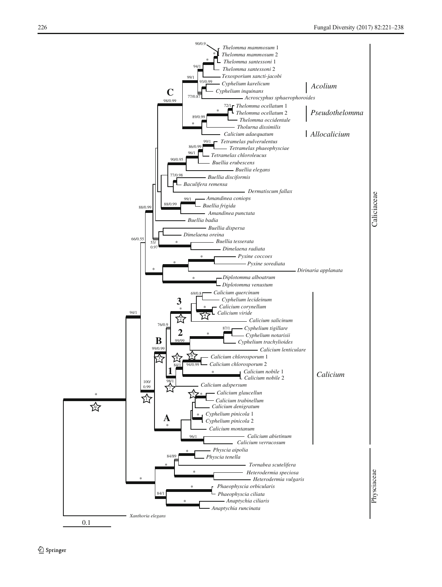<span id="page-5-0"></span>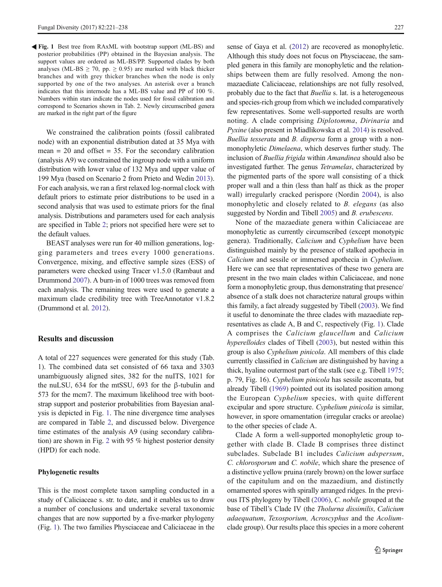Fig. 1 Best tree from RAxML with bootstrap support (ML-BS) and posterior probabilities (PP) obtained in the Bayesian analysis. The support values are ordered as ML-BS/PP. Supported clades by both analyses (ML-BS  $\geq$  70, pp.  $\geq$  0.95) are marked with black thicker branches and with grey thicker branches when the node is only supported by one of the two analyses. An asterisk over a branch indicates that this internode has a ML-BS value and PP of 100 %. Numbers within stars indicate the nodes used for fossil calibration and correspond to Scenarios shown in Tab. 2. Newly circumscribed genera are marked in the right part of the figure

We constrained the calibration points (fossil calibrated node) with an exponential distribution dated at 35 Mya with mean  $= 20$  and offset  $= 35$ . For the secondary calibration (analysis A9) we constrained the ingroup node with a uniform distribution with lower value of 132 Mya and upper value of 199 Mya (based on Scenario 2 from Prieto and Wedin [2013\)](#page-16-0). For each analysis, we ran a first relaxed log-normal clock with default priors to estimate prior distributions to be used in a second analysis that was used to estimate priors for the final analysis. Distributions and parameters used for each analysis are specified in Table [2;](#page-7-0) priors not specified here were set to the default values.

BEAST analyses were run for 40 million generations, logging parameters and trees every 1000 generations. Convergence, mixing, and effective sample sizes (ESS) of parameters were checked using Tracer v1.5.0 (Rambaut and Drummond [2007\)](#page-16-0). A burn-in of 1000 trees was removed from each analysis. The remaining trees were used to generate a maximum clade credibility tree with TreeAnnotator v1.8.2 (Drummond et al. [2012\)](#page-15-0).

# Results and discussion

A total of 227 sequences were generated for this study (Tab. 1). The combined data set consisted of 66 taxa and 3303 unambiguously aligned sites, 382 for the nuITS, 1021 for the nuLSU, 634 for the mtSSU, 693 for the β-tubulin and 573 for the mcm7. The maximum likelihood tree with bootstrap support and posterior probabilities from Bayesian analysis is depicted in Fig. [1.](#page-5-0) The nine divergence time analyses are compared in Table [2,](#page-7-0) and discussed below. Divergence time estimates of the analysis A9 (using secondary calibration) are shown in Fig. [2](#page-8-0) with 95 % highest posterior density (HPD) for each node.

#### Phylogenetic results

This is the most complete taxon sampling conducted in a study of Caliciaceae s. str. to date, and it enables us to draw a number of conclusions and undertake several taxonomic changes that are now supported by a five-marker phylogeny (Fig. [1\)](#page-5-0). The two families Physciaceae and Caliciaceae in the sense of Gaya et al. [\(2012\)](#page-15-0) are recovered as monophyletic. Although this study does not focus on Physciaceae, the sampled genera in this family are monophyletic and the relationships between them are fully resolved. Among the nonmazaediate Caliciaceae, relationships are not fully resolved, probably due to the fact that Buellia s. lat. is a heterogeneous and species-rich group from which we included comparatively few representatives. Some well-supported results are worth noting. A clade comprising Diplotomma, Dirinaria and Pyxine (also present in Miadlikowska et al. [2014\)](#page-16-0) is resolved. Buellia tesserata and B. dispersa form a group with a nonmonophyletic Dimelaena, which deserves further study. The inclusion of Buellia frigida within Amandinea should also be investigated further. The genus Tetramelas, characterized by the pigmented parts of the spore wall consisting of a thick proper wall and a thin (less than half as thick as the proper wall) irregularly cracked perispore (Nordin [2004\)](#page-16-0), is also monophyletic and closely related to B. elegans (as also suggested by Nordin and Tibell [2005](#page-16-0)) and *B. erubescens*.

None of the mazaediate genera within Caliciaceae are monophyletic as currently circumscribed (except monotypic genera). Traditionally, Calicium and Cyphelium have been distinguished mainly by the presence of stalked apothecia in Calicium and sessile or immersed apothecia in Cyphelium. Here we can see that representatives of these two genera are present in the two main clades within Caliciaceae, and none form a monophyletic group, thus demonstrating that presence/ absence of a stalk does not characterize natural groups within this family, a fact already suggested by Tibell [\(2003\)](#page-16-0). We find it useful to denominate the three clades with mazaediate representatives as clade A, B and C, respectively (Fig. [1](#page-5-0)). Clade A comprises the Calicium glaucellum and Calicium hyperelloides clades of Tibell ([2003](#page-16-0)), but nested within this group is also Cyphelium pinicola. All members of this clade currently classified in Calicium are distinguished by having a thick, hyaline outermost part of the stalk (see e.g. Tibell [1975;](#page-16-0) p. 79, Fig. 16). Cyphelium pinicola has sessile ascomata, but already Tibell [\(1969\)](#page-16-0) pointed out its isolated position among the European Cyphelium species, with quite different excipular and spore structure. Cyphelium pinicola is similar, however, in spore ornamentation (irregular cracks or areolae) to the other species of clade A.

Clade A form a well-supported monophyletic group together with clade B. Clade B comprises three distinct subclades. Subclade B1 includes Calicium adspersum, C. chlorosporum and C. nobile, which share the presence of a distinctive yellow pruina (rarely brown) on the lower surface of the capitulum and on the mazaedium, and distinctly ornamented spores with spirally arranged ridges. In the previous ITS phylogeny by Tibell [\(2006\)](#page-16-0), C. nobile grouped at the base of Tibell's Clade IV (the Tholurna dissimilis, Calicium adaequatum, Texosporium, Acroscyphus and the Acoliumclade group). Our results place this species in a more coherent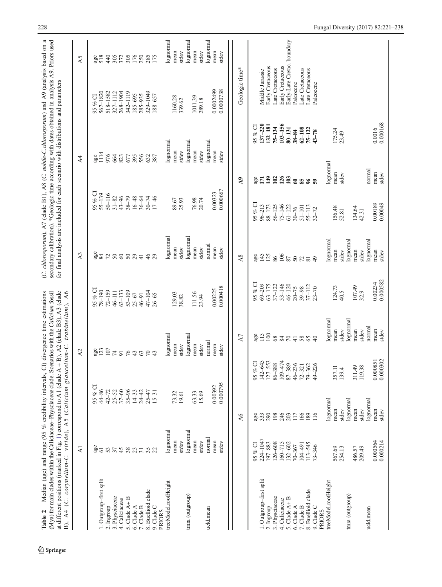| at different positions (marked in Fig. 1) correspond to A1 (clade A + B), A2 (clade B3), A3 (clade<br>(Mya) for main clades within the Caliciaceae-Physciaceae clade. Scenarios with the Calicium fossil<br>B), A4 (C. corynellum-C. viride), A5 (Calicium glaucellum-C. trabinellum), A6<br>Table 2 | Median (age) and range (95 % credibility intervals, CI) divergence time estimations |                |                                |                  |                     | secondary calibration). *Geologic time according with dates obtained in analysis A9. Priors used<br>(C. chlorosporum), A7 (clade B1), A8 (C. nobile-C. chlorosporum) and A9 (analysis based on a<br>for final analysis are included for each scenario with distributions and parameters |                         |                   |                    |                         |                             |
|------------------------------------------------------------------------------------------------------------------------------------------------------------------------------------------------------------------------------------------------------------------------------------------------------|-------------------------------------------------------------------------------------|----------------|--------------------------------|------------------|---------------------|-----------------------------------------------------------------------------------------------------------------------------------------------------------------------------------------------------------------------------------------------------------------------------------------|-------------------------|-------------------|--------------------|-------------------------|-----------------------------|
|                                                                                                                                                                                                                                                                                                      | $\overline{A}$                                                                      |                | $\lambda$ 2                    |                  |                     | A <sub>3</sub>                                                                                                                                                                                                                                                                          |                         |                   | $\overline{4}$     |                         | A5                          |
|                                                                                                                                                                                                                                                                                                      |                                                                                     | $95\%$ Cl      |                                |                  | 95 % CI             |                                                                                                                                                                                                                                                                                         | $\frac{60}{20}$<br>56   |                   | pa                 | $5\%$ CI                |                             |
| 1. Outgroup-first split                                                                                                                                                                                                                                                                              | age                                                                                 | 44-86          |                                | $\frac{26}{123}$ | 78-190              | के य                                                                                                                                                                                                                                                                                    | $55 - 139$              |                   | 114                | 567-1820                | age<br>518                  |
| 2. Ingroup                                                                                                                                                                                                                                                                                           | 53                                                                                  | $42 - 72$      | 107                            |                  | $72 - 159$          | $\mathcal{L}$                                                                                                                                                                                                                                                                           | $50 - 116$              |                   | 976                | 518-1582                | 40                          |
| 3. Physciaceae                                                                                                                                                                                                                                                                                       | 37                                                                                  | $25 - 52$      | $\frac{1}{2}$                  |                  | 46-111              | 588                                                                                                                                                                                                                                                                                     | $31 - 82$               |                   | 664                | 327-1112                | 302<br>372<br>305           |
| 4. Caliciaceae                                                                                                                                                                                                                                                                                       |                                                                                     | $37 - 60$      |                                |                  | $63 - 133$          |                                                                                                                                                                                                                                                                                         | $43 - 96$               |                   | 823                | 268-1904                |                             |
| 5. Clade A+B                                                                                                                                                                                                                                                                                         | $38 \Omega$                                                                         | $35 - 96$      | 76                             |                  | $53 - 109$          |                                                                                                                                                                                                                                                                                         | $38 - 79$               |                   | 677                | 342-1119                |                             |
| 6. Clade A                                                                                                                                                                                                                                                                                           |                                                                                     | $14 - 33$      | 43                             |                  | $25 - 67$           | 29                                                                                                                                                                                                                                                                                      | $16 - 48$               |                   | 395                | $185 - 695$             | 176                         |
| 7. Clade B                                                                                                                                                                                                                                                                                           | $\overline{31}$                                                                     | $24 - 42$      | 63                             |                  | $46 - 91$           | $\frac{1}{4}$                                                                                                                                                                                                                                                                           | $36 - 64$               |                   | 556<br>632         | 285-935                 |                             |
| 8. Buellioid clade                                                                                                                                                                                                                                                                                   | 32                                                                                  | $25 - 47$      | 70                             |                  | 47-104              | 46                                                                                                                                                                                                                                                                                      | $30 - 74$               |                   |                    | 329-1049                | 250<br>285<br>175           |
| 9. Clade C<br>PRIORS                                                                                                                                                                                                                                                                                 |                                                                                     | $15 - 31$      | 43                             |                  | $26 - 65$           | 29                                                                                                                                                                                                                                                                                      | $17 - 46$               |                   | 387                | 188-657                 |                             |
| treeModel.rootHeight                                                                                                                                                                                                                                                                                 |                                                                                     |                |                                |                  |                     |                                                                                                                                                                                                                                                                                         |                         |                   |                    |                         |                             |
|                                                                                                                                                                                                                                                                                                      | lognormal                                                                           |                |                                | lognormal        |                     | ognormal                                                                                                                                                                                                                                                                                |                         |                   | ognormal           |                         | lognormal                   |
|                                                                                                                                                                                                                                                                                                      | stdev<br>mean                                                                       | 73.32<br>19.61 |                                | mean             | 129.03<br>38.82     | stdev<br>mean                                                                                                                                                                                                                                                                           | 89.67<br>25.93          |                   | stdev<br>mean      | 1160.28<br>339.62       | mean<br>stdev               |
|                                                                                                                                                                                                                                                                                                      |                                                                                     |                |                                | stdev            |                     |                                                                                                                                                                                                                                                                                         |                         |                   |                    |                         |                             |
| tmra (outgroup)                                                                                                                                                                                                                                                                                      | lognormal                                                                           |                |                                | lognormal        |                     | lognormal                                                                                                                                                                                                                                                                               |                         |                   | lognormal          |                         | lognormal                   |
|                                                                                                                                                                                                                                                                                                      | mean                                                                                | 63.33          |                                | mean             | 111.56              | mean                                                                                                                                                                                                                                                                                    | 76.98                   |                   | mean               | 1011.39                 | mean                        |
|                                                                                                                                                                                                                                                                                                      | stdev                                                                               | 15.69          |                                | stdev            | 23.94               | stdev                                                                                                                                                                                                                                                                                   | 20.74                   |                   | stdev              | 289.18                  | stdev                       |
| ucld.mean                                                                                                                                                                                                                                                                                            | normal                                                                              |                |                                | normal           |                     | normal                                                                                                                                                                                                                                                                                  |                         |                   | lognormal          |                         | lognormal                   |
|                                                                                                                                                                                                                                                                                                      | mean                                                                                | 0.00392        |                                | mean             | 0.00225             | mean                                                                                                                                                                                                                                                                                    | 0.00323                 |                   | mean               | 0.0002499               | mean                        |
|                                                                                                                                                                                                                                                                                                      | stdev                                                                               | 0.000795       |                                | stdev            | 0.000418            | stdev                                                                                                                                                                                                                                                                                   | 0.000667                |                   | stdev              | 0.0000738               | stdev                       |
|                                                                                                                                                                                                                                                                                                      |                                                                                     |                |                                |                  |                     |                                                                                                                                                                                                                                                                                         |                         |                   |                    |                         |                             |
|                                                                                                                                                                                                                                                                                                      |                                                                                     | A6             |                                | $\Delta$ 7       |                     | $\overline{AB}$                                                                                                                                                                                                                                                                         |                         | $\mathbf{R}$      |                    | Geologic time*          |                             |
|                                                                                                                                                                                                                                                                                                      | 95 % CI                                                                             |                | J<br>95%                       |                  | $95\%$ C            |                                                                                                                                                                                                                                                                                         | $5\%$ CI                |                   | $5\%$ CI           |                         |                             |
| 1. Outgroup-first split                                                                                                                                                                                                                                                                              | 224-1047                                                                            | age<br>333     | $142 - 645$                    | age<br>115       | $69 - 209$          | $\frac{36}{45}$                                                                                                                                                                                                                                                                         | $96 - 213$              | ge<br>17          | $137 - 220$        | Middle Jurassic         |                             |
| 2. Ingroup                                                                                                                                                                                                                                                                                           | 197-883                                                                             | 290            | $127 - 553$<br>86-388          | 100              | $63 - 175$          |                                                                                                                                                                                                                                                                                         | 88-173                  | $\frac{49}{5}$    | $132 - 181$        | Early Cretaceous        |                             |
| 3. Physciaceae                                                                                                                                                                                                                                                                                       | 126-608                                                                             | 198            |                                | $8\frac{1}{2}$   | $37 - 122$          | $\frac{125}{86}$                                                                                                                                                                                                                                                                        | $56 - 125$              |                   | $75 - 134$         | Late Cretaceous         |                             |
| 4. Caliciaceae                                                                                                                                                                                                                                                                                       | $160 - 715$                                                                         | 246            | 109-474                        |                  | $53 - 146$          | 106                                                                                                                                                                                                                                                                                     | $75 - 146$              | $\frac{102}{126}$ | $103 - 156$        | <b>Early Cretaceous</b> |                             |
| 5. Clade A+B                                                                                                                                                                                                                                                                                         | 132-602                                                                             | 203            | $87 - 389$<br>46-236<br>72-321 | $\approx$ $\pm$  | $46 - 120$          | $^{57}$                                                                                                                                                                                                                                                                                 | $61 - 122$              | 103               | $80 - 131$         |                         | Early-Late Cretac. boundary |
| 6. Clade A                                                                                                                                                                                                                                                                                           | 70-367                                                                              | 117            |                                |                  | $20 - 75$           |                                                                                                                                                                                                                                                                                         | $30 - 76$               | $\circledast$     | $38 - 84$          | <sup>2</sup> aleocene   |                             |
| 7. Clade B                                                                                                                                                                                                                                                                                           | 104 491                                                                             | 166            |                                | 58<br>65         | 39-98               | $\mathcal{L}$                                                                                                                                                                                                                                                                           | $51 - 101$              | 88                | $62 - 108$         | ate Cretaceous          |                             |
| 8. Buellioid clade                                                                                                                                                                                                                                                                                   | $113 - 545$                                                                         | 189            | 79-362<br>49-226               |                  | $37 - 112$          | 81                                                                                                                                                                                                                                                                                      | $55 - 113$<br>$32 - 72$ |                   | $75 - 122$         | Late Cretaceous         |                             |
| 9. Clade C<br><b>PRIORS</b>                                                                                                                                                                                                                                                                          | $73 - 346$                                                                          | 116            |                                | $\Theta$         | $23 - 70$           | $\overline{6}$                                                                                                                                                                                                                                                                          |                         | 59                | $43 - 78$          | Paleocene               |                             |
| treeModel.rootHeight                                                                                                                                                                                                                                                                                 |                                                                                     | lognormal      |                                | ognormal         |                     | ognormal                                                                                                                                                                                                                                                                                |                         | lognormal         |                    |                         |                             |
|                                                                                                                                                                                                                                                                                                      | 567.69                                                                              | mean           | 357.11                         | mean             | 124.73              | mean                                                                                                                                                                                                                                                                                    |                         | mean              | 175.24             |                         |                             |
|                                                                                                                                                                                                                                                                                                      | 254.13                                                                              | stdev          | 139.4                          | stdev            | 40.5                | stdev                                                                                                                                                                                                                                                                                   | 156.48<br>52.81         | stdev             | 23.49              |                         |                             |
| (dno.fano) eurt                                                                                                                                                                                                                                                                                      |                                                                                     | lognormal      |                                | lognormal        |                     | ognormal                                                                                                                                                                                                                                                                                |                         |                   |                    |                         |                             |
|                                                                                                                                                                                                                                                                                                      | 486.57                                                                              | mean           | 311.49                         | mean             | 107.49              | mean                                                                                                                                                                                                                                                                                    | 134.64                  |                   |                    |                         |                             |
|                                                                                                                                                                                                                                                                                                      | 209.49                                                                              | stdev          | 119.38                         | stdev            | 32.9                | stdev                                                                                                                                                                                                                                                                                   | 42.31                   |                   |                    |                         |                             |
| ucld.mean                                                                                                                                                                                                                                                                                            |                                                                                     | lognormal      |                                | normal           |                     | ognormal                                                                                                                                                                                                                                                                                |                         | normal            |                    |                         |                             |
|                                                                                                                                                                                                                                                                                                      | 0.000564<br>0.000214                                                                | mean<br>stdev  | 0.000302<br>0.000851           | mean<br>stdev    | 0.000582<br>0.00234 | mean<br>stdev                                                                                                                                                                                                                                                                           | 0.00049<br>0.00189      | mean<br>stdev     | 0.000168<br>0.0016 |                         |                             |
|                                                                                                                                                                                                                                                                                                      |                                                                                     |                |                                |                  |                     |                                                                                                                                                                                                                                                                                         |                         |                   |                    |                         |                             |

 $\underline{\textcircled{\tiny 2}}$  Springer

# <span id="page-7-0"></span>228 Fungal Diversity (2017) 82:221 –238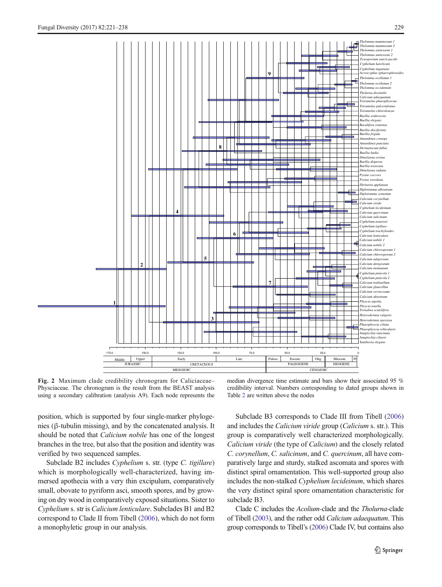<span id="page-8-0"></span>

Fig. 2 Maximum clade credibility chronogram for Caliciaceae– Physciaceae. The chronogram is the result from the BEAST analysis using a secondary calibration (analysis A9). Each node represents the

position, which is supported by four single-marker phylogenies (β-tubulin missing), and by the concatenated analysis. It should be noted that Calicium nobile has one of the longest branches in the tree, but also that the position and identity was verified by two sequenced samples.

Subclade B2 includes Cyphelium s. str. (type C. tigillare) which is morphologically well-characterized, having immersed apothecia with a very thin excipulum, comparatively small, obovate to pyriform asci, smooth spores, and by growing on dry wood in comparatively exposed situations. Sister to Cyphelium s. str is Calicium lenticulare. Subclades B1 and B2 correspond to Clade II from Tibell ([2006](#page-16-0)), which do not form a monophyletic group in our analysis.

median divergence time estimate and bars show their associated 95 % credibility interval. Numbers corresponding to dated groups shown in Table [2](#page-7-0) are written above the nodes

Subclade B3 corresponds to Clade III from Tibell [\(2006](#page-16-0)) and includes the Calicium viride group (Calicium s. str.). This group is comparatively well characterized morphologically. Calicium viride (the type of Calicium) and the closely related C. corynellum, C. salicinum, and C. quercinum, all have comparatively large and sturdy, stalked ascomata and spores with distinct spiral ornamentation. This well-supported group also includes the non-stalked Cyphelium lecideinum, which shares the very distinct spiral spore ornamentation characteristic for subclade B3.

Clade C includes the Acolium-clade and the Tholurna-clade of Tibell [\(2003](#page-16-0)), and the rather odd Calicium adaequatum. This group corresponds to Tibell's [\(2006\)](#page-16-0) Clade IV, but contains also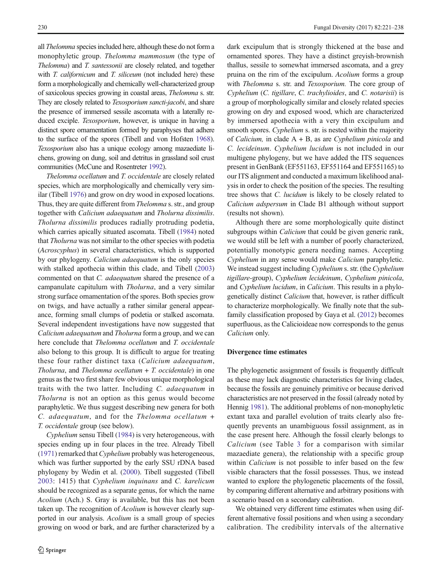all Thelomma species included here, although these do not form a monophyletic group. Thelomma mammosum (the type of Thelomma) and T. santessonii are closely related, and together with *T. californicum* and *T. siliceum* (not included here) these form a morphologically and chemically well-characterized group of saxicolous species growing in coastal areas, Thelomma s. str. They are closely related to Texosporium sancti-jacobi, and share the presence of immersed sessile ascomata with a laterally reduced exciple. *Texosporium*, however, is unique in having a distinct spore ornamentation formed by paraphyses that adhere to the surface of the spores (Tibell and von Hofsten [1968\)](#page-16-0). Texosporium also has a unique ecology among mazaediate lichens, growing on dung, soil and detritus in grassland soil crust communities (McCune and Rosentreter [1992](#page-15-0)).

Thelomma ocellatum and T. occidentale are closely related species, which are morphologically and chemically very similar (Tibell [1976](#page-16-0)) and grow on dry wood in exposed locations. Thus, they are quite different from Thelomma s. str., and group together with Calicium adaequatum and Tholurna dissimilis. Tholurna dissimilis produces radially protruding podetia, which carries apically situated ascomata. Tibell ([1984](#page-16-0)) noted that Tholurna was not similar to the other species with podetia (Acroscyphus) in several characteristics, which is supported by our phylogeny. Calicium adaequatum is the only species with stalked apothecia within this clade, and Tibell [\(2003\)](#page-16-0) commented on that C. adaequatum shared the presence of a campanulate capitulum with Tholurna, and a very similar strong surface ornamentation of the spores. Both species grow on twigs, and have actually a rather similar general appearance, forming small clumps of podetia or stalked ascomata. Several independent investigations have now suggested that Calicium adaequatum and Tholurna form a group, and we can here conclude that *Thelomma ocellatum* and *T. occidentale* also belong to this group. It is difficult to argue for treating these four rather distinct taxa (Calicium adaequatum, Tholurna, and Thelomma ocellatum  $+$  T. occidentale) in one genus as the two first share few obvious unique morphological traits with the two latter. Including C. adaequatum in Tholurna is not an option as this genus would become paraphyletic. We thus suggest describing new genera for both C. adaequatum, and for the Thelomma ocellatum + T. occidentale group (see below).

Cyphelium sensu Tibell [\(1984\)](#page-16-0) is very heterogeneous, with species ending up in four places in the tree. Already Tibell [\(1971\)](#page-16-0) remarked that Cyphelium probably was heterogeneous, which was further supported by the early SSU rDNA based phylogeny by Wedin et al. ([2000](#page-16-0)). Tibell suggested (Tibell [2003](#page-16-0): 1415) that Cyphelium inquinans and C. karelicum should be recognized as a separate genus, for which the name Acolium (Ach.) S. Gray is available, but this has not been taken up. The recognition of *Acolium* is however clearly supported in our analysis. Acolium is a small group of species growing on wood or bark, and are further characterized by a dark excipulum that is strongly thickened at the base and ornamented spores. They have a distinct greyish-brownish thallus, sessile to somewhat immersed ascomata, and a grey pruina on the rim of the excipulum. Acolium forms a group with *Thelomma s. str. and Texosporium*. The core group of Cyphelium (C. tigillare, C. trachylioides, and C. notarisii) is a group of morphologically similar and closely related species growing on dry and exposed wood, which are characterized by immersed apothecia with a very thin excipulum and smooth spores. Cyphelium s. str. is nested within the majority of Calicium, in clade  $A + B$ , as are Cyphelium pinicola and C. lecideinum. Cyphelium lucidum is not included in our multigene phylogeny, but we have added the ITS sequences present in GenBank (EF551163, EF551164 and EF551165) to our ITS alignment and conducted a maximum likelihood analysis in order to check the position of the species. The resulting tree shows that C. lucidum is likely to be closely related to Calicium adspersum in Clade B1 although without support (results not shown).

Although there are some morphologically quite distinct subgroups within *Calicium* that could be given generic rank, we would still be left with a number of poorly characterized, potentially monotypic genera needing names. Accepting Cyphelium in any sense would make Calicium paraphyletic. We instead suggest including Cyphelium s. str. (the Cyphelium tigillare-group), Cyphelium lecideinum, Cyphelium pinicola, and Cyphelium lucidum, in Calicium. This results in a phylogenetically distinct Calicium that, however, is rather difficult to characterize morphologically. We finally note that the subfamily classification proposed by Gaya et al. [\(2012\)](#page-15-0) becomes superfluous, as the Calicioideae now corresponds to the genus Calicium only.

## Divergence time estimates

The phylogenetic assignment of fossils is frequently difficult as these may lack diagnostic characteristics for living clades, because the fossils are genuinely primitive or because derived characteristics are not preserved in the fossil (already noted by Hennig [1981\)](#page-15-0). The additional problems of non-monophyletic extant taxa and parallel evolution of traits clearly also frequently prevents an unambiguous fossil assignment, as in the case present here. Although the fossil clearly belongs to Calicium (see Table [3](#page-10-0) for a comparison with similar mazaediate genera), the relationship with a specific group within *Calicium* is not possible to infer based on the few visible characters that the fossil possesses. Thus, we instead wanted to explore the phylogenetic placements of the fossil, by comparing different alternative and arbitrary positions with a scenario based on a secondary calibration.

We obtained very different time estimates when using different alternative fossil positions and when using a secondary calibration. The credibility intervals of the alternative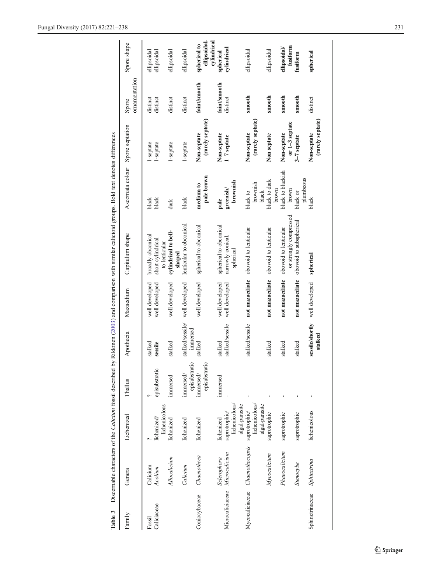<span id="page-10-0"></span>

| Fungal Diversity (2017) 82:221-238 |   |  |  |
|------------------------------------|---|--|--|
|                                    | w |  |  |

| Table 3                         |                     |                                                           |                             |                               |                                  | Discemable characters of the Calicium fossil described by Rikkinen (2003) and comparison with similar calicioid groups. Bold text denotes differences |                                 |                                 |                        |                                             |
|---------------------------------|---------------------|-----------------------------------------------------------|-----------------------------|-------------------------------|----------------------------------|-------------------------------------------------------------------------------------------------------------------------------------------------------|---------------------------------|---------------------------------|------------------------|---------------------------------------------|
| Family                          | Genera              | Lichenized                                                | Thallus                     | Apothecia                     | Mazaedium                        | Capitulum shape                                                                                                                                       | Ascomata colour Spore septation |                                 | ornamentation<br>Spore | Spore shape                                 |
| Caliciaceae<br>Fossil           | Calicium<br>Acolium | lichenicolous<br>lichenized/                              | episubstratic               | stalked<br>sessile            | well developed<br>well developed | broadly obconical<br>short cylindrical<br>to lenticular                                                                                               | black<br>black                  | 1-septate<br>l-septate          | distinct<br>distinct   | ellipsoidal<br>ellipsoidal                  |
|                                 | Allocalicium        | lichenized                                                | immersed                    | stalked                       | well developed                   | cylindrical to bell-<br>shaped                                                                                                                        | dark                            | 1-septate                       | distinct               | ellipsoidal                                 |
|                                 | Calicium            | lichenized                                                | episubstratic<br>innnersed/ | stalked/sessile/<br>innnersed | well developed                   | lenticular to obconical                                                                                                                               | black                           | 1-septate                       | distinct               | ellipsoidal                                 |
| Coniocybaceae                   | Chaenotheca         | lichenized                                                | episubstratic<br>immersed/  | stalked                       | well developed                   | spherical to obconical                                                                                                                                | pale brown<br>medium to         | (rarely septate)<br>Non-septate | faint/smooth           | ellipsoidal-<br>cylindrical<br>spherical to |
|                                 | Sclerophora         | lichenized                                                | innnersed                   | stalked                       | well developed                   | spherical to obconical                                                                                                                                | pale                            | Non-septate                     | faint/smooth           | spherical                                   |
| Microcaliciaceae Microcalicium  |                     | lichenicolous/<br>algal-parasite<br>saprotrophic/         |                             | stalked/sessile               | well developed                   | narrowly conical,<br>spherical                                                                                                                        | brownish<br>greenish/           | $1 - 7$ septate                 | distinct               | cylindrical                                 |
| Mycocaliciaceae Chaenothecopsis |                     | lichenicolous/<br>algal-parasite<br>$\mbox{sprotrophic}/$ |                             | stalked/sessile               | not mazaediate                   | obovoid to lenticular                                                                                                                                 | brownish<br>black to<br>black   | (rarely septate)<br>Non-septate | smooth                 | ellipsoidal                                 |
|                                 | Mycocalicium        | saprotrophic                                              |                             | stalked                       | not mazaediate                   | obovoid to lenticular                                                                                                                                 | black to dark<br>brown          | Non septate                     | smooth                 | ellipsoidal                                 |
|                                 | Phaeocalicium       | saprotrophic                                              |                             | stalked                       | not mazaediate                   | or strongly compressed<br>obovoid to lenticular                                                                                                       | black to blackish<br>brown      | or $1-3$ septate<br>Non-septate | smooth                 | fusiform<br>ellipsoidal/                    |
|                                 | Stenocybe           | saprotrophic                                              |                             | stalked                       | not mazaediate                   | obovoid to subspherical                                                                                                                               | plumbeous<br>black or           | $3 - 7$ septate                 | smooth                 | fusiform                                    |
| Sphinctrinaceae                 | Sphinctrina         | lichenicolous                                             |                             | sessile/shortly<br>stalked    | well developed                   | spherical                                                                                                                                             | black                           | (rarely septate)<br>Non-septate | distinct               | spherical                                   |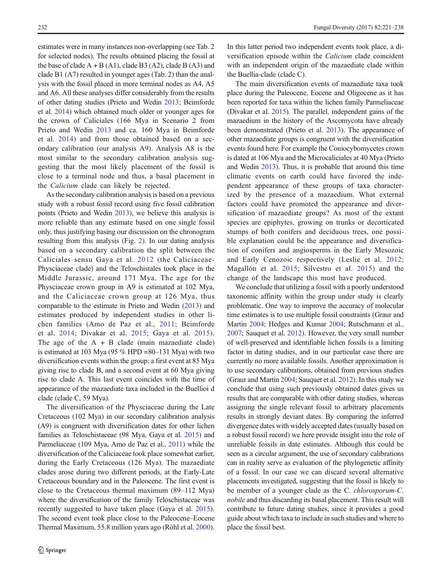estimates were in many instances non-overlapping (see Tab. 2 for selected nodes). The results obtained placing the fossil at the base of clade  $A + B (A1)$ , clade B3 (A2), clade B (A3) and clade B1 (A7) resulted in younger ages (Tab. 2) than the analysis with the fossil placed in more terminal nodes as A4, A5 and A6. All these analyses differ considerably from the results of other dating studies (Prieto and Wedin [2013](#page-16-0); Beimforde et al. [2014](#page-15-0)) which obtained much older or younger ages for the crown of Caliciales (166 Mya in Scenario 2 from Prieto and Wedin [2013](#page-16-0) and ca. 160 Mya in Beimforde et al. [2014](#page-15-0)) and from those obtained based on a secondary calibration (our analysis A9). Analysis A8 is the most similar to the secondary calibration analysis suggesting that the most likely placement of the fossil is close to a terminal node and thus, a basal placement in the Calicium clade can likely be rejected.

As the secondary calibration analysis is based on a previous study with a robust fossil record using five fossil calibration points (Prieto and Wedin [2013](#page-16-0)), we believe this analysis is more reliable than any estimate based on one single fossil only, thus justifying basing our discussion on the chronogram resulting from this analysis (Fig. [2\)](#page-8-0). In our dating analysis based on a secondary calibration the split between the Caliciales sensu Gaya et al. [2012](#page-15-0) (the Caliciaceae-Physciaceae clade) and the Teloschistales took place in the Middle Jurassic, around 171 Mya. The age for the Physciaceae crown group in A9 is estimated at 102 Mya, and the Caliciaceae crown group at 126 Mya, thus comparable to the estimate in Prieto and Wedin ([2013](#page-16-0)) and estimates produced by independent studies in other lichen families (Amo de Paz et al., [2011;](#page-14-0) Beimforde et al. [2014;](#page-15-0) Divakar et al. [2015;](#page-15-0) Gaya et al. [2015](#page-15-0)). The age of the  $A + B$  clade (main mazaediate clade) is estimated at 103 Mya (95  $%$  HPD =80–131 Mya) with two diversification events within the group; a first event at 85 Mya giving rise to clade B, and a second event at 60 Mya giving rise to clade A. This last event coincides with the time of appearance of the mazaediate taxa included in the Buellioi d clade (clade C, 59 Mya).

The diversification of the Physciaceae during the Late Cretaceous (102 Mya) in our secondary calibration analysis (A9) is congruent with diversification dates for other lichen families as Teloschistaceae (98 Mya, Gaya et al. [2015](#page-15-0)) and Parmeliaceae (109 Mya, Amo de Paz et al., [2011](#page-14-0)) while the diversification of the Caliciaceae took place somewhat earlier, during the Early Cretaceous (126 Mya). The mazaediate clades arose during two different periods, at the Early-Late Cretaceous boundary and in the Paleocene. The first event is close to the Cretaceous thermal maximum (89–112 Mya) where the diversification of the family Teloschistaceae was recently suggested to have taken place (Gaya et al. [2015](#page-15-0)). The second event took place close to the Paleocene–Eocene Thermal Maximum, 55.8 million years ago (Röhl et al. [2000\)](#page-16-0).

In this latter period two independent events took place, a diversification episode within the Calicium clade coincident with an independent origin of the mazaediate clade within the Buellia-clade (clade C).

The main diversification events of mazaediate taxa took place during the Paleocene, Eocene and Oligocene as it has been reported for taxa within the lichen family Parmeliaceae (Divakar et al. [2015\)](#page-15-0). The parallel, independent gains of the mazaedium in the history of the Ascomycota have already been demonstrated (Prieto et al. [2013\)](#page-16-0). The appearance of other mazaediate groups is congruent with the diversification events found here. For example the Coniocybomycetes crown is dated at 106 Mya and the Microcaliciales at 40 Mya (Prieto and Wedin [2013\)](#page-16-0). Thus, it is probable that around this time climatic events on earth could have favored the independent appearance of these groups of taxa characterized by the presence of a mazaedium. What external factors could have promoted the appearance and diversification of mazaediate groups? As most of the extant species are epiphytes, growing on trunks or decorticated stumps of both conifers and deciduous trees, one possible explanation could be the appearance and diversification of conifers and angiosperms in the Early Mesozoic and Early Cenozoic respectively (Leslie et al. [2012;](#page-15-0) Magallón et al. [2015](#page-15-0); Silvestro et al. [2015](#page-16-0)) and the change of the landscape this must have produced.

We conclude that utilizing a fossil with a poorly understood taxonomic affinity within the group under study is clearly problematic. One way to improve the accuracy of molecular time estimates is to use multiple fossil constraints (Graur and Martin [2004;](#page-15-0) Hedges and Kumar [2004](#page-15-0); Rutschmann et al., [2007;](#page-16-0) Sauquet et al. [2012\)](#page-16-0). However, the very small number of well-preserved and identifiable lichen fossils is a limiting factor in dating studies, and in our particular case there are currently no more available fossils. Another approximation is to use secondary calibrations, obtained from previous studies (Graur and Martin [2004;](#page-15-0) Sauquet et al. [2012\)](#page-16-0). In this study we conclude that using such previously obtained dates gives us results that are comparable with other dating studies, whereas assigning the single relevant fossil to arbitrary placements results in strongly deviant dates. By comparing the inferred divergence dates with widely accepted dates (usually based on a robust fossil record) we here provide insight into the role of unreliable fossils in date estimates. Although this could be seen as a circular argument, the use of secondary calibrations can in reality serve as evaluation of the phylogenetic affinity of a fossil. In our case we can discard several alternative placements investigated, suggesting that the fossil is likely to be member of a younger clade as the C. chlorosporum-C. nobile and thus discarding its basal placement. This result will contribute to future dating studies, since it provides a good guide about which taxa to include in such studies and where to place the fossil best.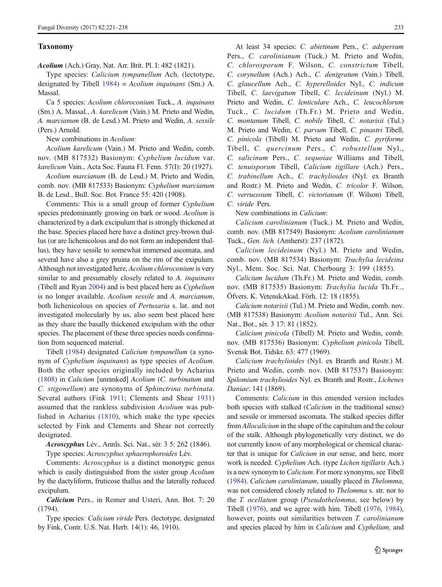#### Taxonomy

Acolium (Ach.) Gray, Nat. Arr. Brit. Pl. I: 482 (1821).

Type species: Calicium tympanellum Ach. (lectotype, designated by Tibell  $1984$ ) = Acolium inquinans (Sm.) A. Massal.

Ca 5 species: Acolium chloroconium Tuck., A. inquinans (Sm.) A. Massal., A. karelicum (Vain.) M. Prieto and Wedin, A. marcianum (B. de Lesd.) M. Prieto and Wedin, A. sessile (Pers.) Arnold.

New combinations in Acolium:

Acolium karelicum (Vain.) M. Prieto and Wedin, comb. nov. (MB 817532) Basionym: Cyphelium lucidum var. karelicum Vain., Acta Soc. Fauna Fl. Fenn. 57(I): 20 (1927).

Acolium marcianum (B. de Lesd.) M. Prieto and Wedin, comb. nov. (MB 817533) Basionym: Cyphelium marcianum B. de Lesd., Bull. Soc. Bot. France 55: 420 (1908).

Comments: This is a small group of former Cyphelium species predominantly growing on bark or wood. Acolium is characterized by a dark excipulum that is strongly thickened at the base. Species placed here have a distinct grey-brown thallus (or are lichenicolous and do not form an independent thallus), they have sessile to somewhat immersed ascomata, and several have also a grey pruina on the rim of the exipulum. Although not investigated here, Acolium chloroconium is very similar to and presumably closely related to A. inquinans (Tibell and Ryan [2004\)](#page-16-0) and is best placed here as Cyphelium is no longer available. Acolium sessile and A. marcianum, both lichenicolous on species of Pertusaria s. lat. and not investigated molecularly by us, also seem best placed here as they share the basally thickened excipulum with the other species. The placement of these three species needs confirmation from sequenced material.

Tibell ([1984](#page-16-0)) designated Calicium tympanellum (a synonym of Cyphelium inquinans) as type species of Acolium. Both the other species originally included by Acharius [\(1808\)](#page-14-0) in Calicium [unranked] Acolium (C. turbinatum and C. stigonellum) are synonyms of Sphinctrina turbinata. Several authors (Fink [1911;](#page-15-0) Clements and Shear [1931\)](#page-15-0) assumed that the rankless subdivision Acolium was published in Acharius ([1810](#page-14-0)), which make the type species selected by Fink and Clements and Shear not correctly designated.

Acroscyphus Lév., Annls. Sci. Nat., sér. 3 5: 262 (1846).

Type species: Acroscyphus sphaerophoroides Lév.

Comments: Acroscyphus is a distinct monotypic genus which is easily distinguished from the sister group Acolium by the dactyliform, fruticose thallus and the laterally reduced excipulum.

Calicium Pers., in Romer and Usteri, Ann. Bot. 7: 20 (1794).

Type species: Calicium viride Pers. (lectotype, designated by Fink, Contr. U.S. Nat. Herb. 14(1): 46, 1910).

At least 34 species: C. abietinum Pers., C. adspersum Pers., C. carolinianum (Tuck.) M. Prieto and Wedin, C. chlorosporum F. Wilson, C. constrictum Tibell, C. corynellum (Ach.) Ach., C. denigratum (Vain.) Tibell, C. glaucellum Ach., C. hyperelloides Nyl., C. indicum Tibell, C. laevigatum Tibell, C. lecideinum (Nyl.) M. Prieto and Wedin, C. lenticulare Ach., C. leucochlorum Tuck., C. lucidum (Th.Fr.) M. Prieto and Wedin, C. montanum Tibell, C. nobile Tibell, C. notarisii (Tul.) M. Prieto and Wedin, C. parvum Tibell, C. pinastri Tibell, C. pinicola (Tibell) M. Prieto and Wedin, C. pyriforme Tibell, C. quercinum Pers., C. robustellum Nyl., C. salicinum Pers., C. sequoiae Williams and Tibell, C. tenuisporum Tibell, Calicium tigillare (Ach.) Pers., C. trabinellum Ach., C. trachylioides (Nyl. ex Branth and Rostr.) M. Prieto and Wedin, C. tricolor F. Wilson, C. verrucosum Tibell, C. victorianum (F. Wilson) Tibell, C. viride Pers.

New combinations in Calicium:

Calicium carolinianum (Tuck.) M. Prieto and Wedin, comb. nov. (MB 817549) Basionym: Acolium carolinianum Tuck., Gen. lich. (Amherst): 237 (1872).

Calicium lecideinum (Nyl.) M. Prieto and Wedin, comb. nov. (MB 817534) Basionym: Trachylia lecideina Nyl., Mem. Soc. Sci. Nat. Cherbourg 3: 199 (1855).

Calicium lucidum (Th.Fr.) M. Prieto and Wedin, comb. nov. (MB 817535) Basionym: Trachylia lucida Th.Fr.., Öfvers. K. VetenskAkad. Förh. 12: 18 (1855).

Calicium notarisii (Tul.) M. Prieto and Wedin, comb. nov. (MB 817538) Basionym: Acolium notarisii Tul., Ann. Sci. Nat., Bot., sér. 3 17: 81 (1852).

Calicium pinicola (Tibell) M. Prieto and Wedin, comb. nov. (MB 817536) Basionym: Cyphelium pinicola Tibell, Svensk Bot. Tidskr. 63: 477 (1969).

Calicium trachylioides (Nyl. ex Branth and Rostr.) M. Prieto and Wedin, comb. nov. (MB 817537) Basionym: Spilomium trachylioides Nyl. ex Branth and Rostr., Lichenes Daniae: 141 (1869).

Comments: Calicium in this emended version includes both species with stalked (*Calicium* in the traditional sense) and sessile or immersed ascomata. The stalked species differ from Allocalicium in the shape of the capitulum and the colour of the stalk. Although phylogenetically very distinct, we do not currently know of any morphological or chemical character that is unique for Calicium in our sense, and here, more work is needed. Cyphelium Ach. (type Lichen tigillaris Ach.) is a new synonym to Calicium. For more synonyms, see Tibell [\(1984\)](#page-16-0). Calicium carolinianum, usually placed in Thelomma, was not considered closely related to Thelomma s. str. nor to the T. ocellatum group (Pseudothelomma, see below) by Tibell ([1976](#page-16-0)), and we agree with him. Tibell [\(1976,](#page-16-0) [1984\)](#page-16-0), however, points out similarities between T. carolinianum and species placed by him in Calicium and Cyphelium, and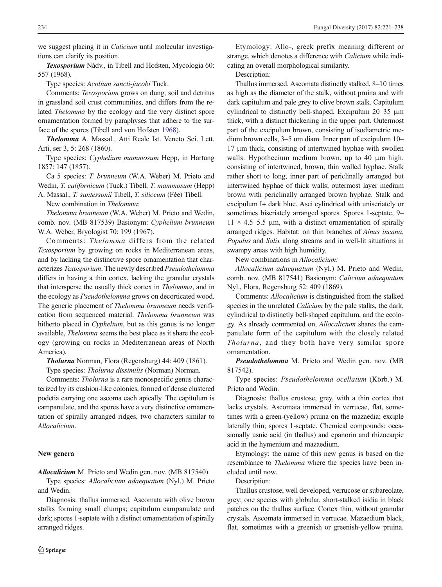we suggest placing it in *Calicium* until molecular investigations can clarify its position.

Texosporium Nádv., in Tibell and Hofsten, Mycologia 60: 557 (1968).

Type species: Acolium sancti-jacobi Tuck.

Comments: Texosporium grows on dung, soil and detritus in grassland soil crust communities, and differs from the related *Thelomma* by the ecology and the very distinct spore ornamentation formed by paraphyses that adhere to the surface of the spores (Tibell and von Hofsten [1968\)](#page-16-0).

Thelomma A. Massal., Atti Reale Ist. Veneto Sci. Lett. Arti, ser 3, 5: 268 (1860).

Type species: Cyphelium mammosum Hepp, in Hartung 1857: 147 (1857).

Ca 5 species: T. brunneum (W.A. Weber) M. Prieto and Wedin, T. californicum (Tuck.) Tibell, T. mammosum (Hepp)

A. Massal., T. santessonii Tibell, T. siliceum (Fée) Tibell.

New combination in Thelomma:

Thelomma brunneum (W.A. Weber) M. Prieto and Wedin, comb. nov. (MB 817539) Basionym: Cyphelium brunneum W.A. Weber, Bryologist 70: 199 (1967).

Comments: Thelomma differs from the related Texosporium by growing on rocks in Mediterranean areas, and by lacking the distinctive spore ornamentation that characterizes Texosporium. The newly described Pseudothelomma differs in having a thin cortex, lacking the granular crystals that intersperse the usually thick cortex in Thelomma, and in the ecology as Pseudothelomma grows on decorticated wood. The generic placement of *Thelomma brunneum* needs verification from sequenced material. Thelomma brunneum was hitherto placed in *Cyphelium*, but as this genus is no longer available, Thelomma seems the best place as it share the ecology (growing on rocks in Mediterranean areas of North America).

Tholurna Norman, Flora (Regensburg) 44: 409 (1861).

Type species: Tholurna dissimilis (Norman) Norman.

Comments: Tholurna is a rare monospecific genus characterized by its cushion-like colonies, formed of dense clustered podetia carrying one ascoma each apically. The capitulum is campanulate, and the spores have a very distinctive ornamentation of spirally arranged ridges, two characters similar to Allocalicium.

## New genera

Allocalicium M. Prieto and Wedin gen. nov. (MB 817540).

Type species: Allocalicium adaequatum (Nyl.) M. Prieto and Wedin.

Diagnosis: thallus immersed. Ascomata with olive brown stalks forming small clumps; capitulum campanulate and dark; spores 1-septate with a distinct ornamentation of spirally arranged ridges.

Etymology: Allo-, greek prefix meaning different or strange, which denotes a difference with Calicium while indicating an overall morphological similarity.

Description:

Thallus immersed. Ascomata distinctly stalked, 8–10 times as high as the diameter of the stalk, without pruina and with dark capitulum and pale grey to olive brown stalk. Capitulum cylindrical to distinctly bell-shaped. Excipulum 20–35 μm thick, with a distinct thickening in the upper part. Outermost part of the excipulum brown, consisting of isodiametric medium brown cells, 3–5 um diam. Inner part of excipulum 10– 17 μm thick, consisting of intertwined hyphae with swollen walls. Hypothecium medium brown, up to 40 μm high, consisting of intertwined, brown, thin walled hyphae. Stalk rather short to long, inner part of periclinally arranged but intertwined hyphae of thick walls; outermost layer medium brown with periclinally arranged brown hyphae. Stalk and excipulum I+ dark blue. Asci cylindrical with uniseriately or sometimes biseriately arranged spores. Spores 1-septate, 9–  $11 \times 4.5 - 5.5$  μm, with a distinct ornamentation of spirally arranged ridges. Habitat: on thin branches of Alnus incana, Populus and Salix along streams and in well-lit situations in swampy areas with high humidity.

New combinations in Allocalicium:

Allocalicium adaequatum (Nyl.) M. Prieto and Wedin, comb. nov. (MB 817541) Basionym: Calicium adaequatum Nyl., Flora, Regensburg 52: 409 (1869).

Comments: Allocalicium is distinguished from the stalked species in the unrelated *Calicium* by the pale stalks, the dark, cylindrical to distinctly bell-shaped capitulum, and the ecology. As already commented on, Allocalicium shares the campanulate form of the capitulum with the closely related Tholurna, and they both have very similar spore ornamentation.

Pseudothelomma M. Prieto and Wedin gen. nov. (MB 817542).

Type species: Pseudothelomma ocellatum (Körb.) M. Prieto and Wedin.

Diagnosis: thallus crustose, grey, with a thin cortex that lacks crystals. Ascomata immersed in verrucae, flat, sometimes with a green-(yellow) pruina on the mazaedia; exciple laterally thin; spores 1-septate. Chemical compounds: occasionally usnic acid (in thallus) and epanorin and rhizocarpic acid in the hymenium and mazaedium.

Etymology: the name of this new genus is based on the resemblance to Thelomma where the species have been included until now.

Description:

Thallus crustose, well developed, verrucose or subareolate, grey; one species with globular, short-stalked isidia in black patches on the thallus surface. Cortex thin, without granular crystals. Ascomata immersed in verrucae. Mazaedium black, flat, sometimes with a greenish or greenish-yellow pruina.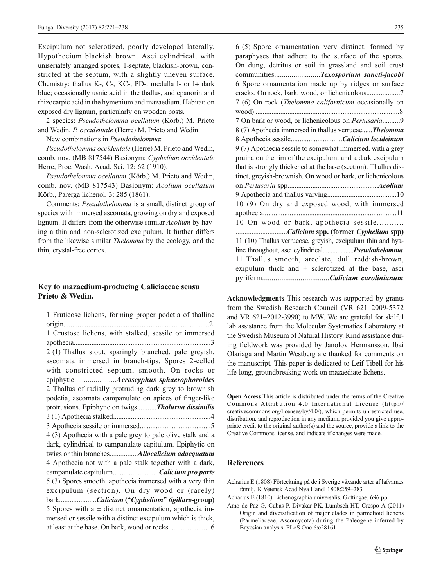<span id="page-14-0"></span>Excipulum not sclerotized, poorly developed laterally. Hypothecium blackish brown. Asci cylindrical, with uniseriately arranged spores, 1-septate, blackish-brown, constricted at the septum, with a slightly uneven surface. Chemistry: thallus K-, C-, KC-, PD-, medulla I- or I+ dark blue; occasionally usnic acid in the thallus, and epanorin and rhizocarpic acid in the hymenium and mazaedium. Habitat: on exposed dry lignum, particularly on wooden posts.

2 species: Pseudothelomma ocellatum (Körb.) M. Prieto and Wedin, P. occidentale (Herre) M. Prieto and Wedin.

New combinations in Pseudothelomma:

Pseudothelomma occidentale (Herre) M. Prieto and Wedin, comb. nov. (MB 817544) Basionym: Cyphelium occidentale Herre, Proc. Wash. Acad. Sci. 12: 62 (1910).

Pseudothelomma ocellatum (Körb.) M. Prieto and Wedin, comb. nov. (MB 817543) Basionym: Acolium ocellatum Körb., Parerga lichenol. 3: 285 (1861).

Comments: Pseudothelomma is a small, distinct group of species with immersed ascomata, growing on dry and exposed lignum. It differs from the otherwise similar *Acolium* by having a thin and non-sclerotized excipulum. It further differs from the likewise similar Thelomma by the ecology, and the thin, crystal-free cortex.

# Key to mazaedium-producing Caliciaceae sensu Prieto & Wedin.

1 Fruticose lichens, forming proper podetia of thalline origin..................................................................................2 1 Crustose lichens, with stalked, sessile or immersed apothecia.............................................................................3 2 (1) Thallus stout, sparingly branched, pale greyish, ascomata immersed in branch-tips. Spores 2-celled with constricted septum, smooth. On rocks or epiphytic......................Acroscyphus sphaerophoroides 2 Thallus of radially protruding dark grey to brownish podetia, ascomata campanulate on apices of finger-like protrusions. Epiphytic on twigs...........Tholurna dissimilis 3 (1) Apothecia stalked.......................................................4 3 Apothecia sessile or immersed........................................5 4 (3) Apothecia with a pale grey to pale olive stalk and a dark, cylindrical to campanulate capitulum. Epiphytic on twigs or thin branches................Allocalicium adaequatum 4 Apothecia not with a pale stalk together with a dark, campanulate capitulum..........................Calicium pro parte 5 (3) Spores smooth, apothecia immersed with a very thin excipulum (section). On dry wood or (rarely) bark......................*Calicium* ("Cyphelium" tigillare-group) 5 Spores with  $a \pm$  distinct ornamentation, apothecia immersed or sessile with a distinct excipulum which is thick, at least at the base. On bark, wood or rocks........................6

6 (5) Spore ornamentation very distinct, formed by paraphyses that adhere to the surface of the spores. On dung, detritus or soil in grassland and soil crust communities........................Texosporium sancti-jacobi 6 Spore ornamentation made up by ridges or surface cracks. On rock, bark, wood, or lichenicolous...................7 7 (6) On rock (Thelomma californicum occasionally on wood) .................................................................................8 7 On bark or wood, or lichenicolous on Pertusaria..........9 8 (7) Apothecia immersed in thallus verrucae......Thelomma 8 Apothecia sessile.............................Calicium lecideinum 9 (7) Apothecia sessile to somewhat immersed, with a grey pruina on the rim of the excipulum, and a dark excipulum that is strongly thickened at the base (section). Thallus distinct, greyish-brownish. On wood or bark, or lichenicolous on Pertusaria spp...................................................Acolium 9 Apothecia and thallus varying.......................................10 10 (9) On dry and exposed wood, with immersed apothecia...........................................................................11 10 On wood or bark, apothecia sessile........... ................................*Calicium* spp. (former Cyphelium spp) 11 (10) Thallus verrucose, greyish, excipulum thin and hyaline throughout, asci cylindrical...................Pseudothelomma 11 Thallus smooth, areolate, dull reddish-brown, exipulum thick and  $\pm$  sclerotized at the base, asci pyriform...................................Calicium carolinianum

Acknowledgments This research was supported by grants from the Swedish Research Council (VR 621–2009-5372 and VR 621–2012-3990) to MW. We are grateful for skilful lab assistance from the Molecular Systematics Laboratory at the Swedish Museum of Natural History. Kind assistance during fieldwork was provided by Janolov Hermansson. Ibai Olariaga and Martin Westberg are thanked for comments on the manuscript. This paper is dedicated to Leif Tibell for his life-long, groundbreaking work on mazaediate lichens.

Open Access This article is distributed under the terms of the Creative Commons Attribution 4.0 International License (http:// creativecommons.org/licenses/by/4.0/), which permits unrestricted use, distribution, and reproduction in any medium, provided you give appropriate credit to the original author(s) and the source, provide a link to the Creative Commons license, and indicate if changes were made.

# **References**

Acharius E (1808) Förteckning på de i Sverige växande arter af lafvarnes familj. K Vetensk Acad Nya Handl 1808:259–283

- Acharius E (1810) Lichenographia universalis. Gottingae, 696 pp
- Amo de Paz G, Cubas P, Divakar PK, Lumbsch HT, Crespo A (2011) Origin and diversification of major clades in parmelioid lichens (Parmeliaceae, Ascomycota) during the Paleogene inferred by Bayesian analysis. PLoS One 6:e28161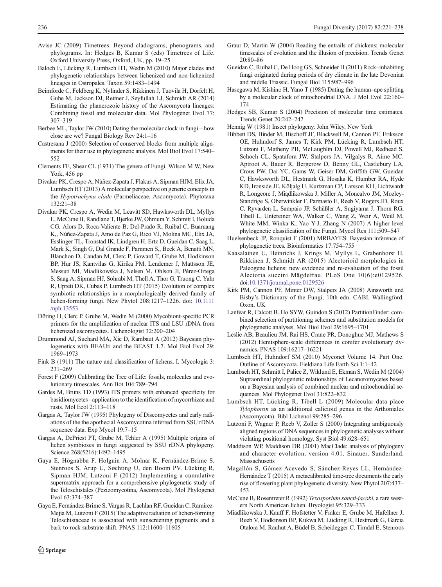- <span id="page-15-0"></span>Avise JC (2009) Timetrees: Beyond cladograms, phenograms, and phylograms. In: Hedges B, Kumar S (eds) Timetrees of Life. Oxford University Press, Oxford, UK, pp. 19–25
- Baloch E, Lücking R, Lumbsch HT, Wedin M (2010) Major clades and phylogenetic relationships between lichenized and non-lichenized lineages in Ostropales. Taxon 59:1483–1494
- Beimforde C, Feldberg K, Nylinder S, Rikkinen J, Tuovila H, Dörfelt H, Gube M, Jackson DJ, Reitner J, Seyfullah LJ, Schmidt AR (2014) Estimating the phanerozoic history of the Ascomycota lineages: Combining fossil and molecular data. Mol Phylogenet Evol 77: 307–319
- Berbee ML, Taylor JW (2010) Dating the molecular clock in fungi how close are we? Fungal Biology Rev 24:1–16
- Castresana J (2000) Selection of conserved blocks from multiple alignments for their use in phylogenetic analysis. Mol Biol Evol 17:540– 552
- Clements FE, Shear CL (1931) The genera of Fungi. Wilson M W, New York, 456 pp
- Divakar PK, Crespo A, Núñez-Zapata J, Flakus A, Sipman HJM, Elix JA, Lumbsch HT (2013) A molecular perspective on generic concepts in the Hypotrachyna clade (Parmeliaceae, Ascomycota). Phytotaxa 132:21–38
- Divakar PK, Crespo A, Wedin M, Leavitt SD, Hawksworth DL, Myllys L, McCune B, Randlane T, Bjerke JW, Ohmura Y, Schmitt I, Boluda CG, Alors D, Roca-Valiente B, Del-Prado R, Ruibal C, Buaruang K,, Núñez-Zapata J, Amo de Paz G, Rico VJ, Molina MC, Elix JA, Esslinger TL, Tronstad IK, Lindgren H, Ertz D, Gueidan C, Saag L, Mark K, Singh G, Dal Grande F, Parnmen S,, Beck A, Benatti MN, Blanchon D, Candan M, Clerc P, Goward T, Grube M, Hodkinson BP, Hur JS, Kantvilas G, Kirika PM, Lendemer J, Mattsson JE, Messuti MI, Miadlikowska J, Nelsen M, Ohlson JI, Pérez-Ortega S, Saag A, Sipman HJ, Sohrabi M, Thell A, Thor G, Truong C, Yahr R, Upreti DK, Cubas P, Lumbsch HT (2015) Evolution of complex symbiotic relationships in a morphologically derived family of lichen-forming fungi. New Phytol 208:1217–1226. doi: [10.1111](http://dx.doi.org/10.1111/nph.13553) [/nph.13553](http://dx.doi.org/10.1111/nph.13553).
- Döring H, Clerc P, Grube M, Wedin M (2000) Mycobiont-specific PCR primers for the amplification of nuclear ITS and LSU rDNA from lichenized ascomycetes. Lichenologist 32:200–204
- Drummond AJ, Suchard MA, Xie D, Rambaut A (2012) Bayesian phylogenetics with BEAUti and the BEAST 1.7. Mol Biol Evol 29: 1969–1973
- Fink B (1911) The nature and classification of lichens, I. Mycologia 3: 231–269
- Forest F (2009) Calibrating the Tree of Life: fossils, molecules and evolutionary timescales. Ann Bot 104:789–794
- Gardes M, Bruns TD (1993) ITS primers with enhanced specificity for basidiomycetes - application to the identification of mycorrhizae and rusts. Mol Ecol 2:113–118
- Gargas A, Taylor JW (1995) Phylogeny of Discomycetes and early radiations of the the apothecial Ascomycotina inferred from SSU rDNA sequence data. Exp Mycol 19:7–15
- Gargas A, DePriest PT, Grube M, Tehler A (1995) Multiple origins of lichen symbioses in fungi suggested by SSU rDNA phylogeny. Science 268(5216):1492–1495
- Gaya E, Högnabba F, Holguin A, Molnar K, Fernández-Brime S, Stenroos S, Arup U, Søchting U, den Boom PV, Lücking R, Sipman HJM, Lutzoni F (2012) Implementing a cumulative supermatrix approach for a comprehensive phylogenetic study of the Teloschistales (Pezizomycotina, Ascomycota). Mol Phylogenet Evol 63:374–387
- Gaya E, Fernández-Brime S, Vargas R, Lachlan RF, Gueidan C, Ramírez-Mejía M, Lutzoni F (2015) The adaptive radiation of lichen-forming Teloschistaceae is associated with sunscreening pigments and a bark-to-rock substrate shift. PNAS 112:11600–11605
- Graur D, Martin W (2004) Reading the entrails of chickens: molecular timescales of evolution and the illusion of precision. Trends Genet 20:80–86
	- Gueidan C, Ruibal C, De Hoog GS, Schneider H (2011) Rock–inhabiting fungi originated during periods of dry climate in the late Devonian and middle Triassic. Fungal Biol 115:987–996
	- Hasegawa M, Kishino H, Yano T (1985) Dating the human–ape splitting by a molecular clock of mitochondrial DNA. J Mol Evol 22:160– 174
	- Hedges SB, Kumar S (2004) Precision of molecular time estimates. Trends Genet 20:242–247
	- Hennig W (1981) Insect phylogeny. John Wiley, New York
	- Hibbett DS, Binder M, Bischoff JF, Blackwell M, Cannon PF, Eriksson OE, Huhndorf S, James T, Kirk PM, Lücking R, Lumbsch HT, Lutzoni F, Matheny PB, McLaughlin DJ, Powell MJ, Redhead S, Schoch CL, Spatafora JW, Stalpers JA, Vilgalys R, Aime MC, Aptroot A, Bauer R, Bergerow D, Benny GL, Castlebury LA, Crous PW, Dai YC, Gams W, Geiser DM, Griffith GW, Gueidan C, Hawksworth DL, Hestmark G, Hosaka K, Humber RA, Hyde KD, Ironside JE, Kõljalg U, Kurtzman CP, Larsson KH, Lichtwardt R, Longcore J, Miądlikowska J, Miller A, Moncalvo JM, Mozley-Standrige S, Oberwinkler F, Parmasto E, Reeb V, Rogers JD, Roux C, Ryvarden L, Sampaio JP, Schüßler A, Sugiyama J, Thorn RG, Tibell L, Untereiner WA, Walker C, Wang Z, Weir A, Weiß M, White MM, Winka K, Yao Y-J, Zhang N (2007) A higher level phylogenetic classification of the Fungi. Mycol Res 111:509–547
	- Huelsenbeck JP, Ronquist F (2001) MRBAYES: Bayesian inference of phylogenetic trees. Bioinformatics 17:754–755
	- Kaasalainen U, Heinrichs J, Krings M, Myllys L, Grabenhorst H, Rikkinen J, Schmidt AR (2015) Alectorioid morphologies in Paleogene lichens: new evidence and re-evaluation of the fossil Alectoria succini Mägdefrau. PLoS One 10(6):e0129526. doi:[10.1371/journal.pone.0129526](http://dx.doi.org/10.1371/journal.pone.0129526)
	- Kirk PM, Cannon PF, Minter DW, Stalpers JA (2008) Ainsworth and Bisby's Dictionary of the Fungi, 10th edn. CABI, Wallingford, Oxon, UK
	- Lanfear R, Calcott B. Ho SYW, Guindon S (2012) PartitionFinder: combined selection of partitioning schemes and substitution models for phylogenetic analyses. Mol Biol Evol 29:1695–1701
	- Leslie AB, Beaulieu JM, Rai HS, Crane PR, Donoghue MJ, Mathews S (2012) Hemisphere-scale differences in conifer evolutionary dynamics. PNAS 109:16217–16221
	- Lumbsch HT, Huhndorf SM (2010) Myconet Volume 14. Part One. Outline of Ascomycota. Fieldiana Life Earth Sci 1:1–42
	- Lumbsch HT, Schmitt I, Palice Z, Wiklund E, Ekman S, Wedin M (2004) Supraordinal phylogenetic relationships of Lecanoromycetes based on a Bayesian analysis of combined nuclear and mitochondrial sequences. Mol Phylogenet Evol 31:822–832
	- Lumbsch HT, Lücking R, Tibell L (2009) Molecular data place Tylophoron as an additional calicioid genus in the Arthoniales (Ascomycota). Bibl Lichenol 99:285–296
	- Lutzoni F, Wagner P, Reeb V, Zoller S (2000) Integrating ambiguously aligned regions of DNA sequences in phylogenetic analyses without violating positional homology. Syst Biol 49:628–651
	- Maddison WP, Maddison DR (2001) MacClade: analysis of phylogeny and character evolution, version 4.01. Sinauer, Sunderland, Massachusetts
	- Magallón S, Gómez-Acevedo S, Sánchez-Reyes LL, Hernández-Hernández T (2015) A metacalibrated time-tree documents the early rise of flowering plant phylogenetic diversity. New Phytol 207:437– 453
	- McCune B, Rosentreter R (1992) Texosporium sancti-jacobi, a rare western North American lichen. Bryologist 95:329–333
	- Miadlikowska J, Kauff F, Hofstetter V, Fraker E, Grube M, Hafellner J, Reeb V, Hodkinson BP, Kukwa M, Lücking R, Hestmark G, Garcia Otalora M, Rauhut A, Büdel B, Scheidegger C, Timdal E, Stenroos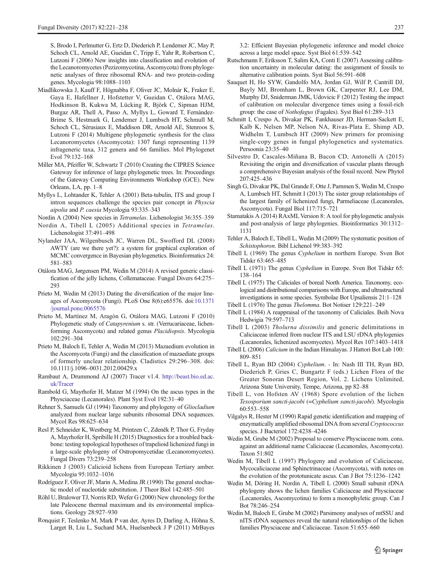<span id="page-16-0"></span>S, Brodo I, Perlmutter G, Ertz D, Diederich P, Lendemer JC, May P, Schoch CL, Arnold AE, Gueidan C, Tripp E, Yahr R, Robertson C, Lutzoni F (2006) New insights into classification and evolution of the Lecanoromycetes (Pezizomycotina, Ascomycota) from phylogenetic analyses of three ribosomal RNA- and two protein-coding genes. Mycologia 98:1088–1103

- Miadlikowska J, Kauff F, Högnabba F, Oliver JC, Molnár K, Fraker E, Gaya E, Hafellner J, Hofstetter V, Gueidan C, Otálora MAG, Hodkinson B, Kukwa M, Lücking R, Björk C, Sipman HJM, Burgaz AR, Thell A, Passo A, Myllys L, Goward T, Fernández-Brime S, Hestmark G, Lendemer J, Lumbsch HT, Schmull M, Schoch CL, Sérusiaux E, Maddison DR, Arnold AE, Stenroos S, Lutzoni F (2014) Multigene phylogenetic synthesis for the class Lecanoromycetes (Ascomycota): 1307 fungi representing 1139 infrageneric taxa, 312 genera and 66 families. Mol Phylogenet Evol 79:132–168
- Miller MA, Pfeiffer W, Schwartz T (2010) Creating the CIPRES Science Gateway for inference of large phylogenetic trees. In: Proceedings of the Gateway Computing Environments Workshop (GCE). New Orleans, LA, pp. 1–8
- Myllys L, Lohtander K, Tehler A (2001) Beta-tubulin, ITS and group I intron sequences challenge the species pair concept in Physcia aipolia and P. caesia Mycologia 93:335–343
- Nordin A (2004) New species in Tetramelas. Lichenologist 36:355–359
- Nordin A, Tibell L (2005) Additional species in Tetramelas. Lichenologist 37:491–498
- Nylander JAA, Wilgenbusch JC, Warren DL, Swofford DL (2008) AWTY (are we there yet?): a system for graphical exploration of MCMC convergence in Bayesian phylogenetics. Bioinformatics 24: 581–583
- Otálora MAG, Jørgensen PM, Wedin M (2014) A revised generic classification of the jelly lichens, Collemataceae. Fungal Divers 64:275– 293
- Prieto M, Wedin M (2013) Dating the diversification of the major lineages of Ascomycota (Fungi). PLoS One 8(6):e65576. doi[:10.1371](http://dx.doi.org/10.1371/journal.pone.0065576) [/journal.pone.0065576](http://dx.doi.org/10.1371/journal.pone.0065576)
- Prieto M, Martínez M, Aragón G, Otálora MAG, Lutzoni F (2010) Phylogenetic study of Catapyrenium s. str. (Verrucariaceae, lichenforming Ascomycota) and related genus Placidiopsis. Mycologia 102:291–304
- Prieto M, Baloch E, Tehler A, Wedin M (2013) Mazaedium evolution in the Ascomycota (Fungi) and the classification of mazaediate groups of formerly unclear relationship. Cladistics 29:296–308. doi: 10.1111/j.1096–0031.2012.00429.x
- Rambaut A, Drummond AJ (2007) Tracer v1.4. [http://beast.bio.ed.ac.](http://beast.bio.ed.ac.uk/Tracer) [uk/Tracer](http://beast.bio.ed.ac.uk/Tracer)
- Rambold G, Mayrhofer H, Matzer M (1994) On the ascus types in the Physciaceae (Lecanorales). Plant Syst Evol 192:31–40
- Rehner S, Samuels GJ (1994) Taxonomy and phylogeny of Gliocladium analyzed from nuclear large subunits ribosomal DNA sequences. Mycol Res 98:625–634
- Resl P, Schneider K, Westberg M, Printzen C, Zdeněk P, Thor G, Fryday A, Mayrhofer H, Spribille H (2015) Diagnostics for a troubled backbone: testing topological hypotheses of trapelioid lichenized fungi in a large-scale phylogeny of Ostropomycetidae (Lecanoromycetes). Fungal Divers 73:239–258
- Rikkinen J (2003) Calicioid lichens from European Tertiary amber. Mycologia 95:1032–1036
- Rodríguez F, Oliver JF, Marin A, Medina JR (1990) The general stochastic model of nucleotide substitution. J Theor Biol 142:485–501
- Röhl U, Bralower TJ, Norris RD, Wefer G (2000) New chronology for the late Paleocene thermal maximum and its environmental implications. Geology 28:927–930
- Ronquist F, Teslenko M, Mark P van der, Ayres D, Darling A, Höhna S, Larget B, Liu L, Suchard MA, Huelsenbeck J P (2011) MrBayes

3.2: Efficient Bayesian phylogenetic inference and model choice across a large model space. Syst Biol 61:539–542

- Rutschmann F, Eriksson T, Salim KA, Conti E (2007) Assessing calibration uncertainty in molecular dating: the assignment of fossils to alternative calibration points. Syst Biol 56:591–608
- Sauquet H, Ho SYW, Gandolfo MA, Jordan GJ, Wilf P, Cantrill DJ, Bayly MJ, Bromham L, Brown GK, Carpenter RJ, Lee DM, Murphy DJ, Sniderman JMK, Udovicic F (2012) Testing the impact of calibration on molecular divergence times using a fossil-rich group: the case of Nothofagus (Fagales). Syst Biol 61:289–313
- Schmitt I, Crespo A, Divakar PK, Fankhauser JD, Herman-Sackett E, Kalb K, Nelsen MP, Nelson NA, Rivas-Plata E, Shimp AD, Widhelm T, Lumbsch HT (2009) New primers for promising single-copy genes in fungal phylogenetics and systematics. Persoonia 23:35–40
- Silvestro D, Cascales-Miñana B, Bacon CD, Antonelli A (2015) Revisiting the origin and diversification of vascular plants through a comprehensive Bayesian analysis of the fossil record. New Phytol 207:425–436
- Singh G, Divakar PK, Dal Grande F, Otte J, Parnmen S, Wedin M, Crespo A, Lumbsch HT, Schmitt I (2013) The sister group relationships of the largest family of lichenized fungi, Parmeliaceae (Lecanorales, Ascomycota). Fungal Biol 117:715–721
- Stamatakis A (2014) RAxML Version 8: A tool for phylogenetic analysis and post-analysis of large phylogenies. Bioinformatics 30:1312– 1131
- Tehler A, Baloch E, Tibell L, Wedin M (2009) The systematic position of Schistophoron. Bibl Lichenol 99:383–392
- Tibell L (1969) The genus Cyphelium in northern Europe. Sven Bot Tidskr 63:465–485
- Tibell L (1971) The genus Cyphelium in Europe. Sven Bot Tidskr 65: 138–164
- Tibell L (1975) The Caliciales of boreal North America. Taxonomy, ecological and distributional comparisons with Europe, and ultrastructural investigations in some species. Symbolae Bot Upsaliensis 21:1–128
- Tibell L (1976) The genus Thelomma. Bot Notiser 129:221–249
- Tibell L (1984) A reappraisal of the taxonomy of Caliciales. Beih Nova Hedwigia 79:597–713
- Tibell L (2003) Tholurna dissimilis and generic delimitations in Caliciaceae inferred from nuclear ITS and LSU rDNA phylogenies (Lecanorales, lichenized ascomycetes). Mycol Res 107:1403–1418
- Tibell L (2006) Calicium in the Indian Himalayas. J Hattori Bot Lab 100: 809–851
- Tibell L, Ryan BD (2004) Cyphelium. In: Nash III TH, Ryan BD, Diederich P, Gries C, Bungartz F (eds.) Lichen Flora of the Greater Sonoran Desert Region, Vol. 2. Lichens Unlimited, Arizona State University, Tempe, Arizona, pp 82–88
- Tibell L, von Hofsten AV (1968) Spore evolution of the lichen Texosporium sancti-jacobi (=Cyphelium sancti-jacobi). Mycologia 60:553–558
- Vilgalys R, Hester M (1990) Rapid genetic identification and mapping of enzymatically amplified ribosomal DNA from several Cryptococcus species. J Bacteriol 172:4238–4246
- Wedin M, Grube M (2002) Proposal to conserve Physciaceae nom. cons. against an additional name Caliciaceae (Lecanorales, Ascomycota). Taxon 51:802
- Wedin M, Tibell L (1997) Phylogeny and evolution of Caliciaceae, Mycocaliciaceae and Sphinctrinaceae (Ascomycota), with notes on the evolution of the prototunicate ascus. Can J Bot 75:1236–1242
- Wedin M, Döring H, Nordin A, Tibell L (2000) Small subunit rDNA phylogeny shows the lichen families Caliciaceae and Physciaceae (Lecanorales, Ascomycotina) to form a monophyletic group. Can J Bot 78:246–254
- Wedin M, Baloch E, Grube M (2002) Parsimony analyses of mtSSU and nITS rDNA sequences reveal the natural relationships of the lichen families Physciaceae and Caliciaceae. Taxon 51:655–660